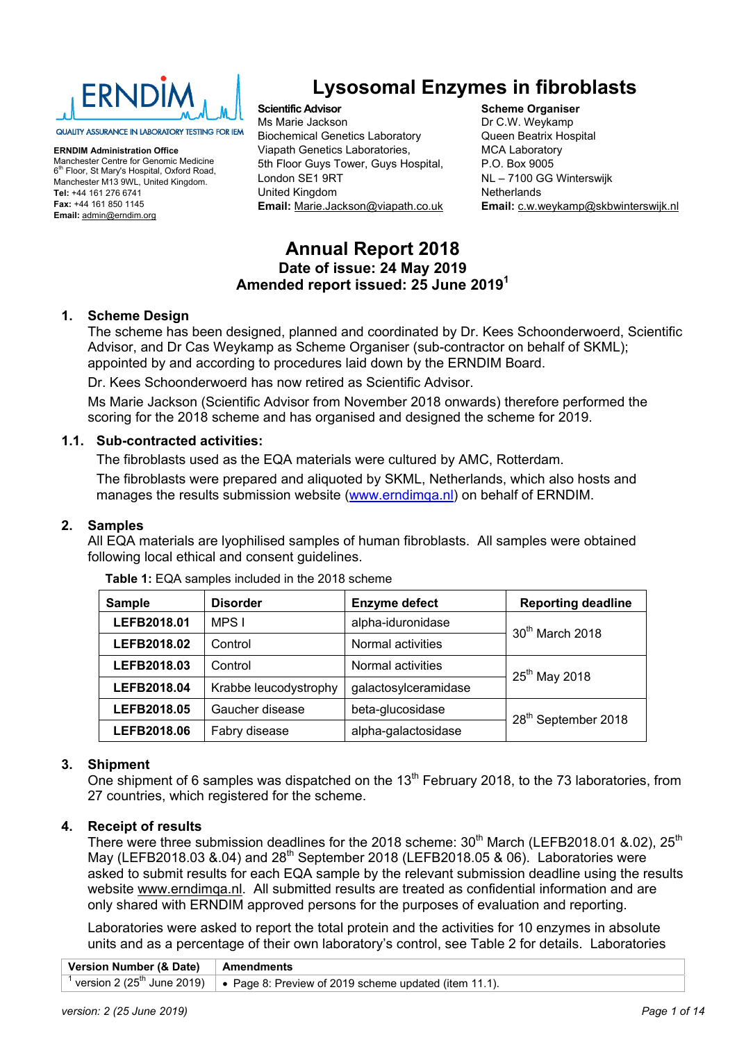

#### QUALITY ASSURANCE IN LABORATORY TESTING FOR IEM

**ERNDIM Administration Office**  Manchester Centre for Genomic Medicine 6<sup>th</sup> Floor, St Mary's Hospital, Oxford Road, Manchester M13 9WL, United Kingdom. **Tel:** +44 161 276 6741 **Fax:** +44 161 850 1145 **Email:** admin@erndim.org

## **Lysosomal Enzymes in fibroblasts**

#### **Scientific Advisor**  Ms Marie Jackson Biochemical Genetics Laboratory Viapath Genetics Laboratories, 5th Floor Guys Tower, Guys Hospital, London SE1 9RT United Kingdom **Email:** Marie.Jackson@viapath.co.uk

**Scheme Organiser**  Dr C.W. Weykamp Queen Beatrix Hospital MCA Laboratory P.O. Box 9005 NL – 7100 GG Winterswijk **Netherlands Email:** c.w.weykamp@skbwinterswijk.nl

## **Annual Report 2018 Date of issue: 24 May 2019 Amended report issued: 25 June 20191**

#### **1. Scheme Design**

The scheme has been designed, planned and coordinated by Dr. Kees Schoonderwoerd, Scientific Advisor, and Dr Cas Weykamp as Scheme Organiser (sub-contractor on behalf of SKML); appointed by and according to procedures laid down by the ERNDIM Board.

Dr. Kees Schoonderwoerd has now retired as Scientific Advisor.

Ms Marie Jackson (Scientific Advisor from November 2018 onwards) therefore performed the scoring for the 2018 scheme and has organised and designed the scheme for 2019.

#### **1.1. Sub-contracted activities:**

The fibroblasts used as the EQA materials were cultured by AMC, Rotterdam.

The fibroblasts were prepared and aliquoted by SKML, Netherlands, which also hosts and manages the results submission website (www.erndimqa.nl) on behalf of ERNDIM.

#### **2. Samples**

All EQA materials are lyophilised samples of human fibroblasts. All samples were obtained following local ethical and consent guidelines.

| <b>Sample</b>                        | <b>Disorder</b> | <b>Enzyme defect</b> | <b>Reporting deadline</b>       |  |
|--------------------------------------|-----------------|----------------------|---------------------------------|--|
| LEFB2018.01                          | MPS I           | alpha-iduronidase    | 30 <sup>th</sup> March 2018     |  |
| LEFB2018.02                          | Control         | Normal activities    |                                 |  |
| LEFB2018.03                          | Control         | Normal activities    | $25^{th}$ May 2018              |  |
| LEFB2018.04<br>Krabbe leucodystrophy |                 | galactosylceramidase |                                 |  |
| LEFB2018.05                          | Gaucher disease | beta-glucosidase     |                                 |  |
| LEFB2018.06                          | Fabry disease   | alpha-galactosidase  | 28 <sup>th</sup> September 2018 |  |

**Table 1:** EQA samples included in the 2018 scheme

#### **3. Shipment**

One shipment of 6 samples was dispatched on the 13<sup>th</sup> February 2018, to the 73 laboratories, from 27 countries, which registered for the scheme.

#### **4. Receipt of results**

There were three submission deadlines for the 2018 scheme:  $30<sup>th</sup>$  March (LEFB2018.01 &.02), 25<sup>th</sup> May (LEFB2018.03 & 04) and  $28<sup>th</sup>$  September 2018 (LEFB2018.05 & 06). Laboratories were asked to submit results for each EQA sample by the relevant submission deadline using the results website www.erndimqa.nl. All submitted results are treated as confidential information and are only shared with ERNDIM approved persons for the purposes of evaluation and reporting.

Laboratories were asked to report the total protein and the activities for 10 enzymes in absolute units and as a percentage of their own laboratory's control, see Table 2 for details. Laboratories

| Version Number (& Date) | ∣ Amendments                                                                                                     |
|-------------------------|------------------------------------------------------------------------------------------------------------------|
|                         | version 2 (25 <sup>th</sup> June 2019) $\vert \bullet \vert$ Page 8: Preview of 2019 scheme updated (item 11.1). |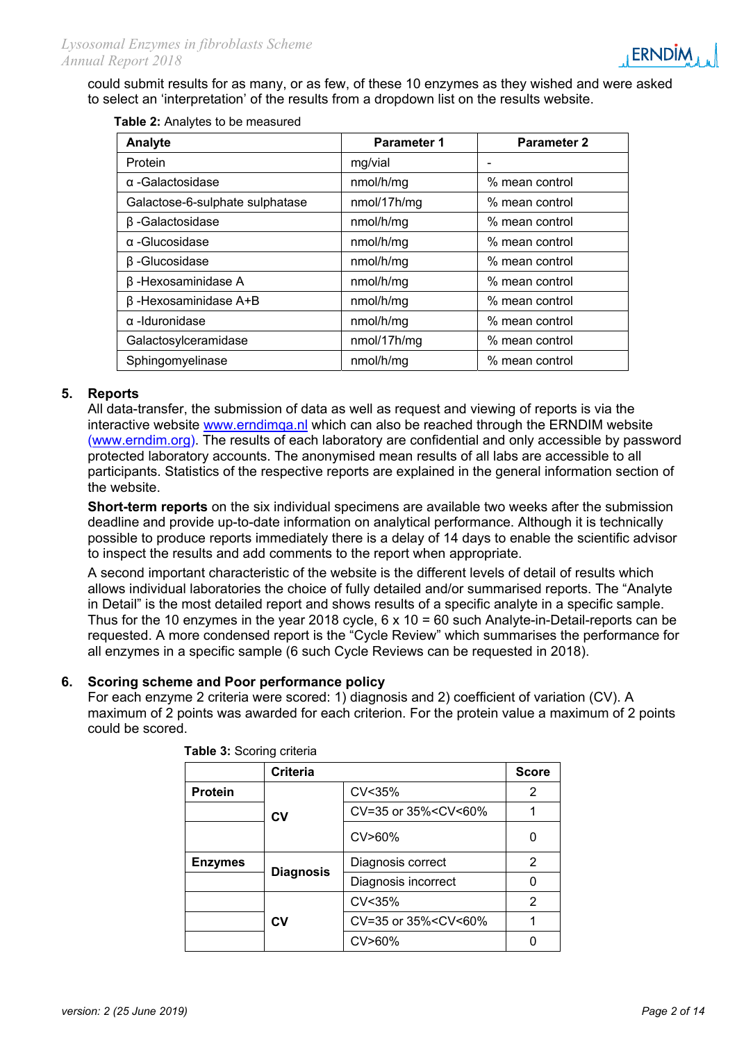could submit results for as many, or as few, of these 10 enzymes as they wished and were asked to select an 'interpretation' of the results from a dropdown list on the results website.

**Table 2:** Analytes to be measured

| Analyte                         | <b>Parameter 1</b> | <b>Parameter 2</b> |
|---------------------------------|--------------------|--------------------|
| Protein                         | mg/vial            |                    |
| $\alpha$ -Galactosidase         | nmol/h/mg          | % mean control     |
| Galactose-6-sulphate sulphatase | nmol/17h/mg        | % mean control     |
| β-Galactosidase                 | nmol/h/mg          | % mean control     |
| $\alpha$ -Glucosidase           | nmol/h/mg          | % mean control     |
| $\beta$ -Glucosidase            | nmol/h/mg          | % mean control     |
| $\beta$ -Hexosaminidase A       | nmol/h/mg          | % mean control     |
| $\beta$ -Hexosaminidase A+B     | nmol/h/mg          | % mean control     |
| $\alpha$ -Iduronidase           | nmol/h/mg          | % mean control     |
| Galactosylceramidase            | nmol/17h/mg        | % mean control     |
| Sphingomyelinase                | nmol/h/mg          | % mean control     |

#### **5. Reports**

All data-transfer, the submission of data as well as request and viewing of reports is via the interactive website www.erndimqa.nl which can also be reached through the ERNDIM website (www.erndim.org). The results of each laboratory are confidential and only accessible by password protected laboratory accounts. The anonymised mean results of all labs are accessible to all participants. Statistics of the respective reports are explained in the general information section of the website.

**Short-term reports** on the six individual specimens are available two weeks after the submission deadline and provide up-to-date information on analytical performance. Although it is technically possible to produce reports immediately there is a delay of 14 days to enable the scientific advisor to inspect the results and add comments to the report when appropriate.

A second important characteristic of the website is the different levels of detail of results which allows individual laboratories the choice of fully detailed and/or summarised reports. The "Analyte in Detail" is the most detailed report and shows results of a specific analyte in a specific sample. Thus for the 10 enzymes in the year 2018 cycle, 6 x 10 = 60 such Analyte-in-Detail-reports can be requested. A more condensed report is the "Cycle Review" which summarises the performance for all enzymes in a specific sample (6 such Cycle Reviews can be requested in 2018).

#### **6. Scoring scheme and Poor performance policy**

For each enzyme 2 criteria were scored: 1) diagnosis and 2) coefficient of variation (CV). A maximum of 2 points was awarded for each criterion. For the protein value a maximum of 2 points could be scored.

|                | <b>Criteria</b>  | <b>Score</b>                                    |   |
|----------------|------------------|-------------------------------------------------|---|
| <b>Protein</b> |                  | CV<35%                                          | 2 |
|                | CV               | CV=35 or 35% <cv<60%< th=""><th></th></cv<60%<> |   |
|                |                  | CV>60%                                          |   |
| <b>Enzymes</b> | <b>Diagnosis</b> | Diagnosis correct                               | 2 |
|                |                  | Diagnosis incorrect                             |   |
|                |                  | CV <sub>35%</sub>                               | 2 |
|                | CV               | CV=35 or 35% <cv<60%< th=""><th></th></cv<60%<> |   |
|                |                  | CV>60%                                          |   |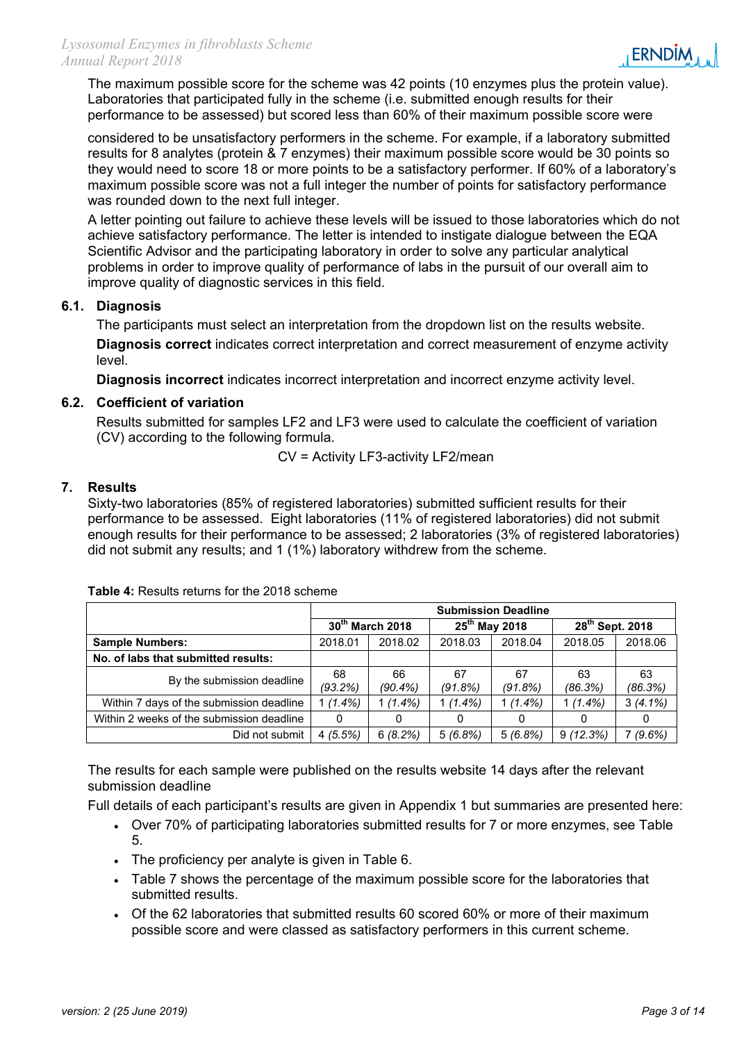The maximum possible score for the scheme was 42 points (10 enzymes plus the protein value). Laboratories that participated fully in the scheme (i.e. submitted enough results for their performance to be assessed) but scored less than 60% of their maximum possible score were

considered to be unsatisfactory performers in the scheme. For example, if a laboratory submitted results for 8 analytes (protein & 7 enzymes) their maximum possible score would be 30 points so they would need to score 18 or more points to be a satisfactory performer. If 60% of a laboratory's maximum possible score was not a full integer the number of points for satisfactory performance was rounded down to the next full integer.

A letter pointing out failure to achieve these levels will be issued to those laboratories which do not achieve satisfactory performance. The letter is intended to instigate dialogue between the EQA Scientific Advisor and the participating laboratory in order to solve any particular analytical problems in order to improve quality of performance of labs in the pursuit of our overall aim to improve quality of diagnostic services in this field.

#### **6.1. Diagnosis**

The participants must select an interpretation from the dropdown list on the results website. **Diagnosis correct** indicates correct interpretation and correct measurement of enzyme activity level.

**Diagnosis incorrect** indicates incorrect interpretation and incorrect enzyme activity level.

#### **6.2. Coefficient of variation**

Results submitted for samples LF2 and LF3 were used to calculate the coefficient of variation (CV) according to the following formula.

$$
CV = Activity LF3-activity LF2/mean
$$

#### **7. Results**

Sixty-two laboratories (85% of registered laboratories) submitted sufficient results for their performance to be assessed. Eight laboratories (11% of registered laboratories) did not submit enough results for their performance to be assessed; 2 laboratories (3% of registered laboratories) did not submit any results; and 1 (1%) laboratory withdrew from the scheme.

|                                           | <b>Submission Deadline</b>  |                  |                           |               |                             |               |
|-------------------------------------------|-----------------------------|------------------|---------------------------|---------------|-----------------------------|---------------|
|                                           | 30 <sup>th</sup> March 2018 |                  | 25 <sup>th</sup> May 2018 |               | 28 <sup>th</sup> Sept. 2018 |               |
| <b>Sample Numbers:</b>                    | 2018.01                     | 2018.02          | 2018.03                   | 2018.04       | 2018.05                     | 2018.06       |
| No. of labs that submitted results:       |                             |                  |                           |               |                             |               |
| By the submission deadline                | 68<br>$(93.2\%)$            | 66<br>$(90.4\%)$ | 67<br>(91.8%)             | 67<br>(91.8%) | 63<br>(86.3%)               | 63<br>(86.3%) |
| Within 7 days of the submission deadline  | $1(1.4\%)$                  | $1(1.4\%)$       | $1(1.4\%)$                | $1(1.4\%)$    | 1 (1.4%)                    | $3(4.1\%)$    |
| Within 2 weeks of the submission deadline | 0                           | 0                |                           |               |                             | 0             |
| Did not submit                            | 4(5.5%)                     | 6(8.2%)          | 5(6.8%)                   | 5(6.8%)       | 9(12.3%)                    | $(9.6\%)$     |

**Table 4:** Results returns for the 2018 scheme

The results for each sample were published on the results website 14 days after the relevant submission deadline

Full details of each participant's results are given in Appendix 1 but summaries are presented here:

- Over 70% of participating laboratories submitted results for 7 or more enzymes, see Table 5.
- The proficiency per analyte is given in Table 6.
- Table 7 shows the percentage of the maximum possible score for the laboratories that submitted results.
- Of the 62 laboratories that submitted results 60 scored 60% or more of their maximum possible score and were classed as satisfactory performers in this current scheme.

**ERNDIM**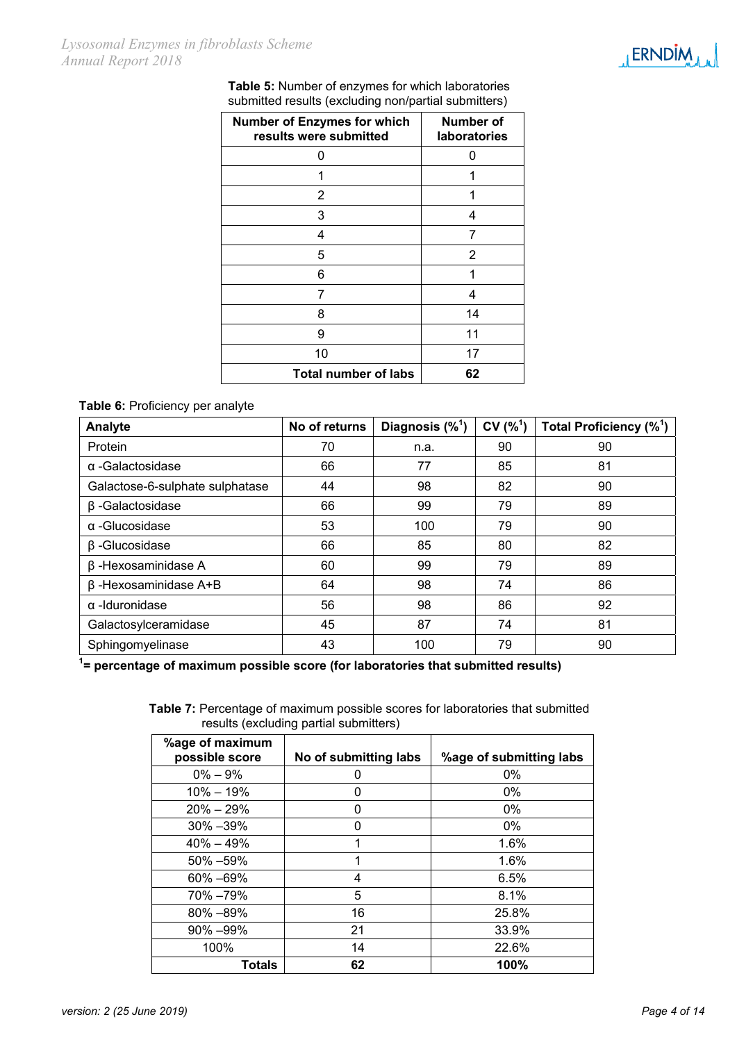| Table 5: Number of enzymes for which laboratories    |
|------------------------------------------------------|
| submitted results (excluding non/partial submitters) |

| <b>Number of Enzymes for which</b><br>results were submitted | Number of<br>laboratories |
|--------------------------------------------------------------|---------------------------|
| O                                                            | ი                         |
|                                                              | 1                         |
| $\overline{2}$                                               | 1                         |
| 3                                                            | 4                         |
| 4                                                            | 7                         |
| 5                                                            | 2                         |
| 6                                                            | 1                         |
| 7                                                            | 4                         |
| 8                                                            | 14                        |
| 9                                                            | 11                        |
| 10                                                           | 17                        |
| <b>Total number of labs</b>                                  | 62                        |

#### **Table 6:** Proficiency per analyte

| Analyte                         | No of returns | Diagnosis $(\%^1)$ | $CV($ % $^{1})$ | Total Proficiency (% <sup>1</sup> ) |
|---------------------------------|---------------|--------------------|-----------------|-------------------------------------|
| Protein                         | 70            | n.a.               | 90              | 90                                  |
| $\alpha$ -Galactosidase         | 66            | 77                 | 85              | 81                                  |
| Galactose-6-sulphate sulphatase | 44            | 98                 | 82              | 90                                  |
| $\beta$ -Galactosidase          | 66            | 99                 | 79              | 89                                  |
| $\alpha$ -Glucosidase           | 53            | 100                | 79              | 90                                  |
| $\beta$ -Glucosidase            | 66            | 85                 | 80              | 82                                  |
| $\beta$ -Hexosaminidase A       | 60            | 99                 | 79              | 89                                  |
| $\beta$ -Hexosaminidase A+B     | 64            | 98                 | 74              | 86                                  |
| $\alpha$ -Iduronidase           | 56            | 98                 | 86              | 92                                  |
| Galactosylceramidase            | 45            | 87                 | 74              | 81                                  |
| Sphingomyelinase                | 43            | 100                | 79              | 90                                  |

**1 = percentage of maximum possible score (for laboratories that submitted results)** 

**Table 7:** Percentage of maximum possible scores for laboratories that submitted results (excluding partial submitters)

| %age of maximum<br>possible score | No of submitting labs | %age of submitting labs |
|-----------------------------------|-----------------------|-------------------------|
| $0\% - 9\%$                       | 0                     | $0\%$                   |
| $10\% - 19\%$                     | 0                     | $0\%$                   |
| $20\% - 29\%$                     | 0                     | $0\%$                   |
| $30\% - 39\%$                     | 0                     | $0\%$                   |
| $40\% - 49\%$                     | 1                     | 1.6%                    |
| 50% - 59%                         | 1                     | 1.6%                    |
| 60% -69%                          | 4                     | 6.5%                    |
| 70% -79%                          | 5                     | 8.1%                    |
| 80% - 89%                         | 16                    | 25.8%                   |
| 90% -99%                          | 21                    | 33.9%                   |
| 100%                              | 14                    | 22.6%                   |
| Totals                            | 62                    | 100%                    |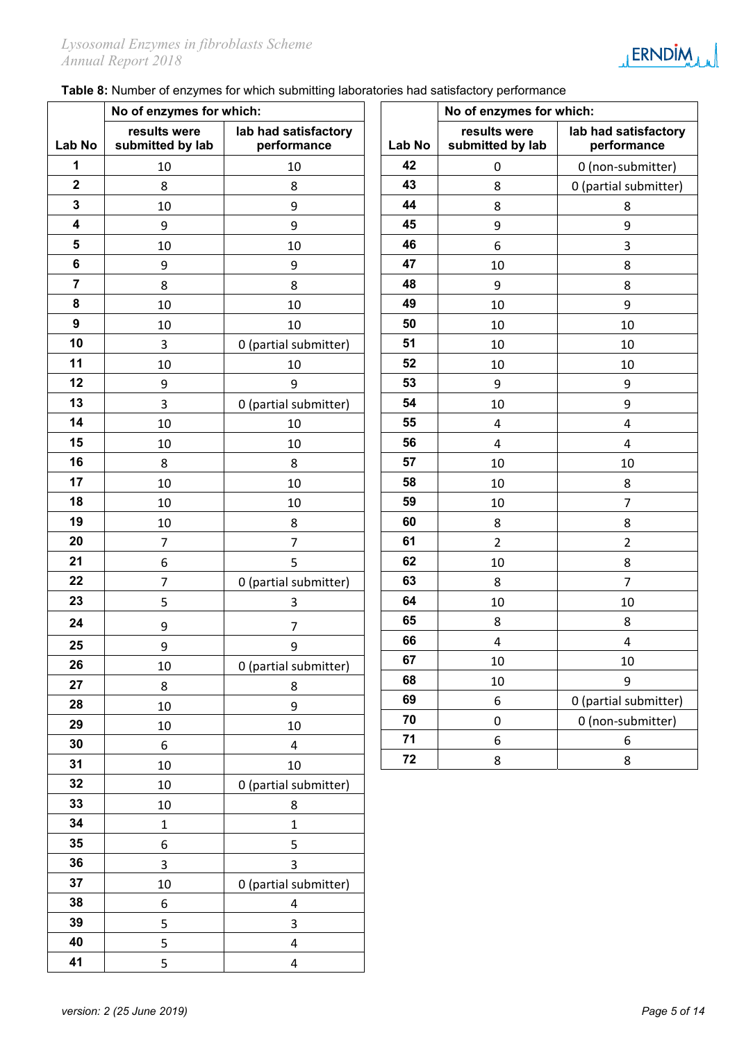|  | ERNDIM |  |
|--|--------|--|
|  |        |  |

### **Table 8:** Number of enzymes for which submitting laboratories had satisfactory performance

|                  | No of enzymes for which:         |                                     | No of enzymes for which: |                                  |                                     |
|------------------|----------------------------------|-------------------------------------|--------------------------|----------------------------------|-------------------------------------|
| Lab No           | results were<br>submitted by lab | lab had satisfactory<br>performance | Lab No                   | results were<br>submitted by lab | lab had satisfactory<br>performance |
| 1                | 10                               | 10                                  | 42                       | $\mathbf 0$                      | 0 (non-submitter)                   |
| $\mathbf{2}$     | 8                                | $\bf 8$                             | 43                       | 8                                | 0 (partial submitter)               |
| $\mathbf{3}$     | 10                               | $\boldsymbol{9}$                    | 44                       | 8                                | 8                                   |
| 4                | $\boldsymbol{9}$                 | 9                                   | 45                       | 9                                | 9                                   |
| $\sqrt{5}$       | 10                               | 10                                  | 46                       | 6                                | 3                                   |
| $\bf 6$          | $\boldsymbol{9}$                 | $\boldsymbol{9}$                    | 47                       | 10                               | 8                                   |
| 7                | 8                                | 8                                   | 48                       | 9                                | $\,8\,$                             |
| 8                | 10                               | 10                                  | 49                       | $10\,$                           | 9                                   |
| $\boldsymbol{9}$ | 10                               | 10                                  | 50                       | 10                               | 10                                  |
| 10               | 3                                | 0 (partial submitter)               | 51                       | 10                               | 10                                  |
| 11               | 10                               | $10\,$                              | 52                       | 10                               | 10                                  |
| 12               | $\boldsymbol{9}$                 | 9                                   | 53                       | 9                                | $\boldsymbol{9}$                    |
| 13               | 3                                | 0 (partial submitter)               | 54                       | $10\,$                           | $\boldsymbol{9}$                    |
| 14               | 10                               | 10                                  | 55                       | $\overline{4}$                   | 4                                   |
| 15               | 10                               | 10                                  | 56                       | $\overline{\mathbf{4}}$          | $\pmb{4}$                           |
| 16               | $\,8\,$                          | $\,8\,$                             | 57                       | 10                               | 10                                  |
| 17               | 10                               | 10                                  | 58                       | 10                               | $\bf 8$                             |
| 18               | 10                               | 10                                  | 59                       | 10                               | $\overline{7}$                      |
| 19               | 10                               | $\,8\,$                             | 60                       | 8                                | $\,8\,$                             |
| 20               | $\overline{7}$                   | $\overline{7}$                      | 61                       | $\overline{2}$                   | $\mathbf 2$                         |
| 21               | 6                                | 5                                   | 62                       | 10                               | 8                                   |
| 22               | $\overline{7}$                   | 0 (partial submitter)               | 63                       | 8                                | $\overline{7}$                      |
| 23               | 5                                | 3                                   | 64                       | $10\,$                           | 10                                  |
| 24               | 9                                | $\overline{7}$                      | 65                       | 8                                | 8                                   |
| 25               | 9                                | 9                                   | 66                       | $\pmb{4}$                        | $\pmb{4}$                           |
| 26               | $10\,$                           | 0 (partial submitter)               | 67                       | 10                               | 10                                  |
| 27               | 8                                | $\bf 8$                             | 68                       | $10\,$                           | 9                                   |
| 28               | $10\,$                           | $\boldsymbol{9}$                    | 69                       | $\boldsymbol{6}$                 | 0 (partial submitter)               |
| 29               | $10\,$                           | $10\,$                              | 70                       | $\boldsymbol{0}$                 | 0 (non-submitter)                   |
| 30               | $\boldsymbol{6}$                 | $\pmb{4}$                           | 71                       | $\boldsymbol{6}$                 | $\boldsymbol{6}$                    |
| 31               | 10                               | 10                                  | 72                       | $\bf 8$                          | $\,8\,$                             |
| 32               | $10\,$                           | 0 (partial submitter)               |                          |                                  |                                     |
| 33               | 10                               | $\,8\,$                             |                          |                                  |                                     |
| 34               | $\mathbf 1$                      | $\mathbf 1$                         |                          |                                  |                                     |
| 35               | 6                                | 5                                   |                          |                                  |                                     |
| 36               | 3                                | $\overline{3}$                      |                          |                                  |                                     |
| 37               | 10                               | 0 (partial submitter)               |                          |                                  |                                     |
| 38               | 6                                | $\overline{a}$                      |                          |                                  |                                     |
| 39               | 5                                | $\overline{3}$                      |                          |                                  |                                     |
| 40               | 5                                | $\pmb{4}$                           |                          |                                  |                                     |
| 41               | 5                                | $\overline{\mathbf{4}}$             |                          |                                  |                                     |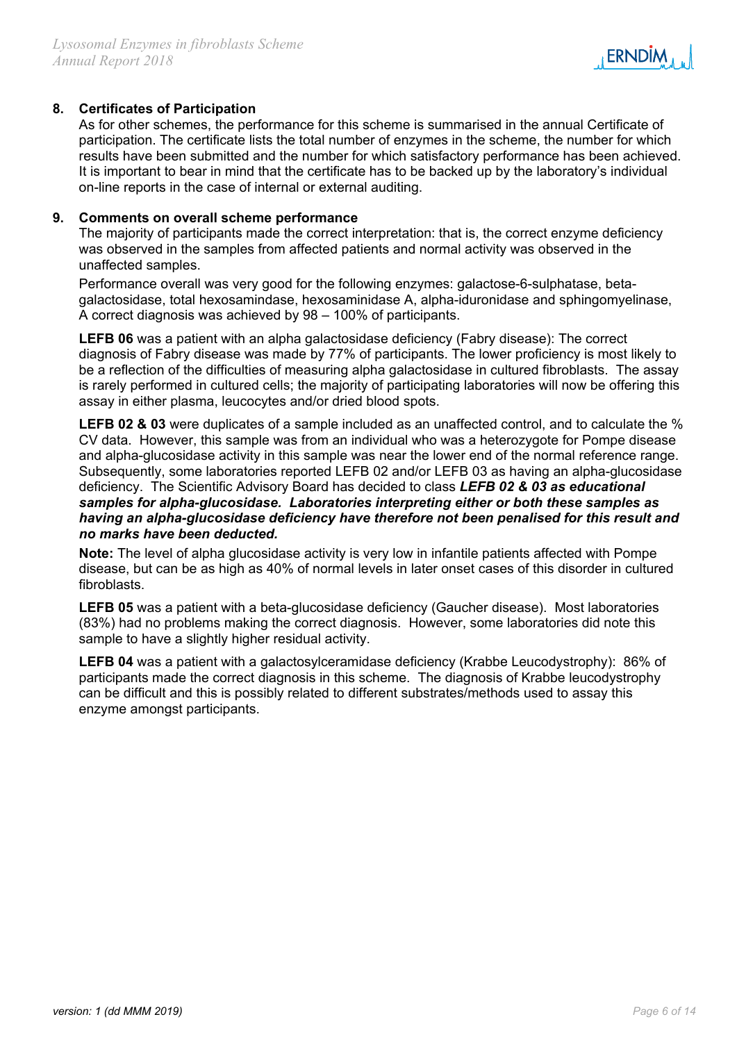

#### **8. Certificates of Participation**

As for other schemes, the performance for this scheme is summarised in the annual Certificate of participation. The certificate lists the total number of enzymes in the scheme, the number for which results have been submitted and the number for which satisfactory performance has been achieved. It is important to bear in mind that the certificate has to be backed up by the laboratory's individual on-line reports in the case of internal or external auditing.

#### **9. Comments on overall scheme performance**

The majority of participants made the correct interpretation: that is, the correct enzyme deficiency was observed in the samples from affected patients and normal activity was observed in the unaffected samples.

Performance overall was very good for the following enzymes: galactose-6-sulphatase, betagalactosidase, total hexosamindase, hexosaminidase A, alpha-iduronidase and sphingomyelinase, A correct diagnosis was achieved by 98 – 100% of participants.

**LEFB 06** was a patient with an alpha galactosidase deficiency (Fabry disease): The correct diagnosis of Fabry disease was made by 77% of participants. The lower proficiency is most likely to be a reflection of the difficulties of measuring alpha galactosidase in cultured fibroblasts. The assay is rarely performed in cultured cells; the majority of participating laboratories will now be offering this assay in either plasma, leucocytes and/or dried blood spots.

**LEFB 02 & 03** were duplicates of a sample included as an unaffected control, and to calculate the % CV data. However, this sample was from an individual who was a heterozygote for Pompe disease and alpha-glucosidase activity in this sample was near the lower end of the normal reference range. Subsequently, some laboratories reported LEFB 02 and/or LEFB 03 as having an alpha-glucosidase deficiency. The Scientific Advisory Board has decided to class *LEFB 02 & 03 as educational samples for alpha-glucosidase. Laboratories interpreting either or both these samples as having an alpha-glucosidase deficiency have therefore not been penalised for this result and no marks have been deducted.* 

**Note:** The level of alpha glucosidase activity is very low in infantile patients affected with Pompe disease, but can be as high as 40% of normal levels in later onset cases of this disorder in cultured fibroblasts.

**LEFB 05** was a patient with a beta-glucosidase deficiency (Gaucher disease). Most laboratories (83%) had no problems making the correct diagnosis. However, some laboratories did note this sample to have a slightly higher residual activity.

**LEFB 04** was a patient with a galactosylceramidase deficiency (Krabbe Leucodystrophy): 86% of participants made the correct diagnosis in this scheme. The diagnosis of Krabbe leucodystrophy can be difficult and this is possibly related to different substrates/methods used to assay this enzyme amongst participants.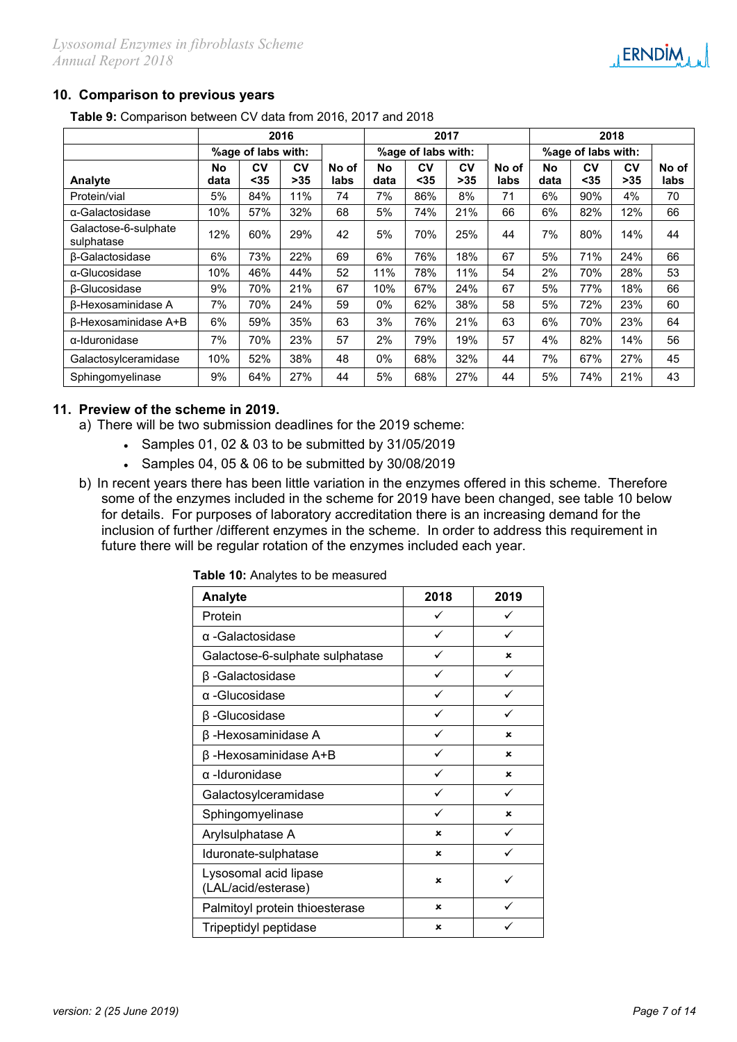#### **10. Comparison to previous years**

|                                    |            |                    |             | 2017          |                   | 2018               |           |               |                   |                    |           |               |
|------------------------------------|------------|--------------------|-------------|---------------|-------------------|--------------------|-----------|---------------|-------------------|--------------------|-----------|---------------|
|                                    |            | %age of labs with: |             |               |                   | %age of labs with: |           |               |                   | %age of labs with: |           |               |
| Analyte                            | No<br>data | CV<br>$35$         | CV<br>$>35$ | No of<br>labs | <b>No</b><br>data | CV<br>$35$         | CV<br>>35 | No of<br>labs | <b>No</b><br>data | CV<br>$35$         | CV<br>>35 | No of<br>labs |
| Protein/vial                       | 5%         | 84%                | 11%         | 74            | 7%                | 86%                | 8%        | 71            | 6%                | 90%                | 4%        | 70            |
| $\alpha$ -Galactosidase            | 10%        | 57%                | 32%         | 68            | 5%                | 74%                | 21%       | 66            | 6%                | 82%                | 12%       | 66            |
| Galactose-6-sulphate<br>sulphatase | 12%        | 60%                | 29%         | 42            | 5%                | 70%                | 25%       | 44            | 7%                | 80%                | 14%       | 44            |
| <b>B-Galactosidase</b>             | 6%         | 73%                | 22%         | 69            | 6%                | 76%                | 18%       | 67            | 5%                | 71%                | 24%       | 66            |
| α-Glucosidase                      | 10%        | 46%                | 44%         | 52            | 11%               | 78%                | 11%       | 54            | 2%                | 70%                | 28%       | 53            |
| <b>B-Glucosidase</b>               | 9%         | 70%                | 21%         | 67            | 10%               | 67%                | 24%       | 67            | 5%                | 77%                | 18%       | 66            |
| β-Hexosaminidase A                 | 7%         | 70%                | 24%         | 59            | 0%                | 62%                | 38%       | 58            | 5%                | 72%                | 23%       | 60            |
| β-Hexosaminidase A+B               | 6%         | 59%                | 35%         | 63            | 3%                | 76%                | 21%       | 63            | 6%                | 70%                | 23%       | 64            |
| $\alpha$ -Iduronidase              | 7%         | 70%                | 23%         | 57            | 2%                | 79%                | 19%       | 57            | 4%                | 82%                | 14%       | 56            |
| Galactosylceramidase               | 10%        | 52%                | 38%         | 48            | 0%                | 68%                | 32%       | 44            | 7%                | 67%                | 27%       | 45            |
| Sphingomyelinase                   | 9%         | 64%                | 27%         | 44            | 5%                | 68%                | 27%       | 44            | 5%                | 74%                | 21%       | 43            |

**Table 9:** Comparison between CV data from 2016, 2017 and 2018

#### **11. Preview of the scheme in 2019.**

- a) There will be two submission deadlines for the 2019 scheme:
	- Samples 01, 02 & 03 to be submitted by  $31/05/2019$
	- Samples 04, 05 & 06 to be submitted by  $30/08/2019$
- b) In recent years there has been little variation in the enzymes offered in this scheme. Therefore some of the enzymes included in the scheme for 2019 have been changed, see table 10 below for details. For purposes of laboratory accreditation there is an increasing demand for the inclusion of further /different enzymes in the scheme. In order to address this requirement in future there will be regular rotation of the enzymes included each year.

| Analyte                                      | 2018 | 2019        |
|----------------------------------------------|------|-------------|
| Protein                                      |      |             |
| $\alpha$ -Galactosidase                      |      |             |
| Galactose-6-sulphate sulphatase              |      | ×           |
| β-Galactosidase                              |      |             |
| α-Glucosidase                                |      |             |
| β-Glucosidase                                | ✓    |             |
| β-Hexosaminidase A                           | ✓    | $\mathbf x$ |
| β-Hexosaminidase A+B                         | ✓    | ×           |
| $\alpha$ -Iduronidase                        | ✓    | ×           |
| Galactosylceramidase                         | ✓    | ✓           |
| Sphingomyelinase                             | ✓    | $\mathbf x$ |
| Arylsulphatase A                             | ×    | ✓           |
| Iduronate-sulphatase                         | ×    |             |
| Lysosomal acid lipase<br>(LAL/acid/esterase) | ×    |             |
| Palmitoyl protein thioesterase               | ×    | ✓           |
| Tripeptidyl peptidase                        | ×    |             |

**Table 10:** Analytes to be measured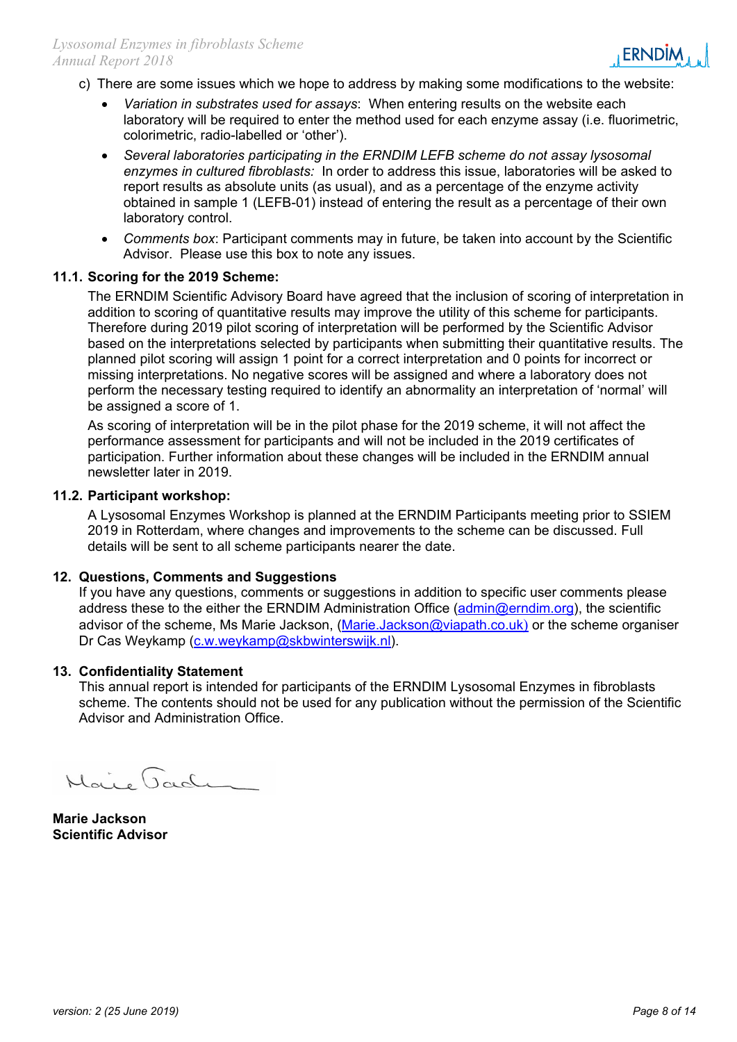#### c) There are some issues which we hope to address by making some modifications to the website:

- *Variation in substrates used for assays*: When entering results on the website each laboratory will be required to enter the method used for each enzyme assay (i.e. fluorimetric, colorimetric, radio-labelled or 'other').
- *Several laboratories participating in the ERNDIM LEFB scheme do not assay lysosomal enzymes in cultured fibroblasts:* In order to address this issue, laboratories will be asked to report results as absolute units (as usual), and as a percentage of the enzyme activity obtained in sample 1 (LEFB-01) instead of entering the result as a percentage of their own laboratory control.
- *Comments box*: Participant comments may in future, be taken into account by the Scientific Advisor. Please use this box to note any issues.

#### **11.1. Scoring for the 2019 Scheme:**

The ERNDIM Scientific Advisory Board have agreed that the inclusion of scoring of interpretation in addition to scoring of quantitative results may improve the utility of this scheme for participants. Therefore during 2019 pilot scoring of interpretation will be performed by the Scientific Advisor based on the interpretations selected by participants when submitting their quantitative results. The planned pilot scoring will assign 1 point for a correct interpretation and 0 points for incorrect or missing interpretations. No negative scores will be assigned and where a laboratory does not perform the necessary testing required to identify an abnormality an interpretation of 'normal' will be assigned a score of 1.

As scoring of interpretation will be in the pilot phase for the 2019 scheme, it will not affect the performance assessment for participants and will not be included in the 2019 certificates of participation. Further information about these changes will be included in the ERNDIM annual newsletter later in 2019.

#### **11.2. Participant workshop:**

A Lysosomal Enzymes Workshop is planned at the ERNDIM Participants meeting prior to SSIEM 2019 in Rotterdam, where changes and improvements to the scheme can be discussed. Full details will be sent to all scheme participants nearer the date.

#### **12. Questions, Comments and Suggestions**

If you have any questions, comments or suggestions in addition to specific user comments please address these to the either the ERNDIM Administration Office (admin@erndim.org), the scientific advisor of the scheme. Ms Marie Jackson, (Marie, Jackson@viapath.co.uk) or the scheme organiser Dr Cas Weykamp (c.w.weykamp@skbwinterswijk.nl).

#### **13. Confidentiality Statement**

This annual report is intended for participants of the ERNDIM Lysosomal Enzymes in fibroblasts scheme. The contents should not be used for any publication without the permission of the Scientific Advisor and Administration Office.

Mais Jack

**Marie Jackson Scientific Advisor**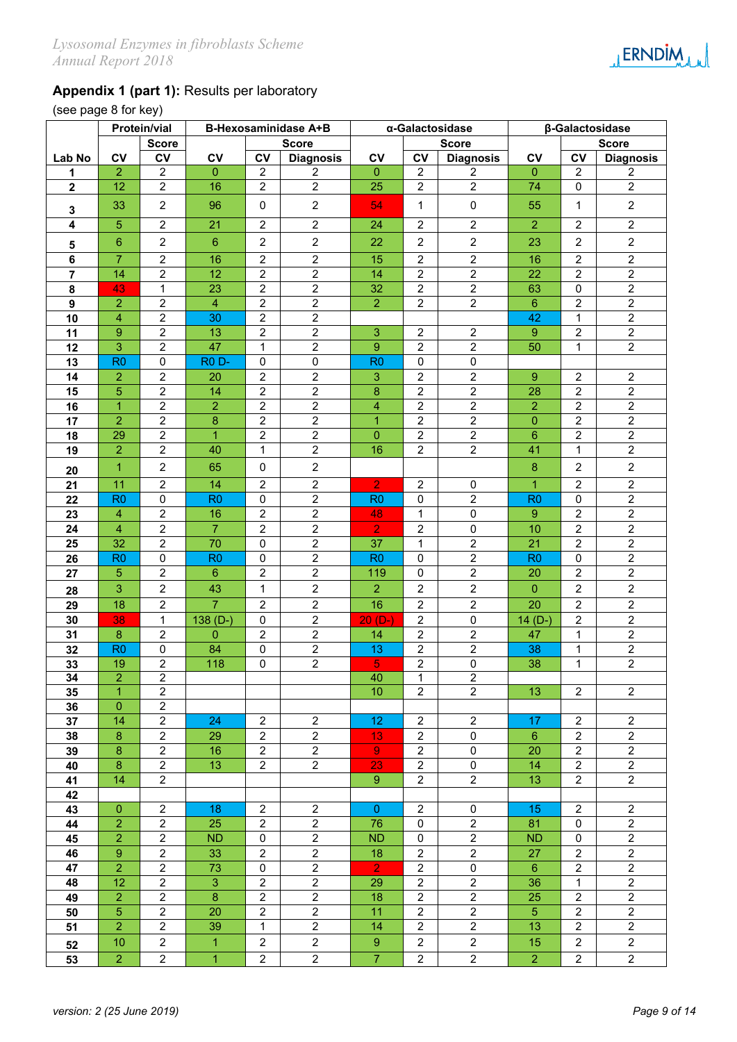## **Appendix 1 (part 1):** Results per laboratory

(see page 8 for key)

|                         |                                  | Protein/vial                              |                              |                                  | <b>B-Hexosaminidase A+B</b>      |                         |                                  | α-Galactosidase                  |                      |                                  | β-Galactosidase<br><b>Score</b><br><b>Diagnosis</b><br>$\overline{\mathbf{c}}$<br>$\overline{2}$ |  |  |  |
|-------------------------|----------------------------------|-------------------------------------------|------------------------------|----------------------------------|----------------------------------|-------------------------|----------------------------------|----------------------------------|----------------------|----------------------------------|--------------------------------------------------------------------------------------------------|--|--|--|
|                         |                                  | <b>Score</b>                              |                              |                                  | <b>Score</b>                     |                         |                                  | <b>Score</b>                     |                      |                                  |                                                                                                  |  |  |  |
| Lab No                  | <b>CV</b>                        | CV                                        | CV                           | $c_{V}$                          | <b>Diagnosis</b>                 | CV                      | c <sub>V</sub>                   | <b>Diagnosis</b>                 | $c_{V}$              | <b>CV</b>                        |                                                                                                  |  |  |  |
| 1                       | $\overline{2}$                   | $\overline{2}$                            | $\mathbf{0}$                 | $\overline{2}$                   | $\overline{c}$                   | $\mathbf{0}$            | $\overline{2}$                   | $\overline{c}$                   | $\Omega$             | $\overline{2}$                   |                                                                                                  |  |  |  |
| $\overline{\mathbf{2}}$ | 12                               | $\overline{2}$                            | 16                           | $\overline{2}$                   | $\overline{2}$                   | 25                      | $\overline{2}$                   | $\overline{2}$                   | 74                   | 0                                |                                                                                                  |  |  |  |
| 3                       | 33                               | $\overline{c}$                            | 96                           | $\mathbf 0$                      | $\overline{c}$                   | 54                      | $\mathbf{1}$                     | 0                                | 55                   | $\mathbf{1}$                     | $\overline{2}$                                                                                   |  |  |  |
| $\overline{\mathbf{4}}$ | $\overline{5}$                   | $\overline{2}$                            | 21                           | $\overline{2}$                   | $\overline{c}$                   | 24                      | $\overline{2}$                   | $\overline{2}$                   | $\overline{2}$       | $\overline{2}$                   | $\overline{2}$                                                                                   |  |  |  |
| 5                       | $6\phantom{a}$                   | $\overline{c}$                            | $6^{\circ}$                  | $\overline{2}$                   | $\overline{c}$                   | 22                      | $\overline{2}$                   | $\overline{2}$                   | 23                   | $\overline{2}$                   | $\overline{c}$                                                                                   |  |  |  |
| 6                       | $\overline{7}$                   | $\boldsymbol{2}$                          | 16                           | $\sqrt{2}$                       | $\boldsymbol{2}$                 | 15                      | $\overline{2}$                   | $\overline{2}$                   | 16                   | $\overline{2}$                   | $\sqrt{2}$                                                                                       |  |  |  |
| $\overline{7}$          | 14                               | $\overline{c}$                            | 12                           | $\overline{2}$                   | $\overline{2}$                   | 14                      | $\overline{2}$                   | $\overline{2}$                   | 22                   | $\overline{2}$                   | $\overline{2}$                                                                                   |  |  |  |
| 8                       | 43                               | $\mathbf{1}$                              | 23                           | $\overline{2}$                   | $\overline{2}$                   | 32                      | $\overline{2}$                   | $\overline{2}$                   | 63                   | $\pmb{0}$                        | $\overline{2}$                                                                                   |  |  |  |
| $\boldsymbol{9}$        | $\overline{2}$                   | $\overline{\mathbf{c}}$                   | $\overline{4}$               | 2                                | $\boldsymbol{2}$                 | $\overline{2}$          | $\overline{2}$                   | $\overline{2}$                   | $\sqrt{6}$           | $\overline{2}$                   | $\sqrt{2}$                                                                                       |  |  |  |
| 10                      | $\overline{4}$                   | $\overline{\mathbf{c}}$                   | 30                           | $\overline{c}$                   | $\boldsymbol{2}$                 |                         |                                  |                                  | 42                   | $\mathbf{1}$                     | $\overline{2}$                                                                                   |  |  |  |
| 11                      | $\boldsymbol{9}$                 | $\overline{\mathbf{c}}$                   | 13                           | $\overline{2}$                   | $\overline{2}$                   | 3                       | $\mathbf 2$                      | $\overline{2}$                   | 9                    | $\overline{2}$                   | $\mathbf 2$                                                                                      |  |  |  |
| 12                      | 3                                | $\overline{2}$                            | 47                           | $\mathbf{1}$                     | $\overline{2}$                   | $\overline{9}$          | $\overline{2}$                   | $\overline{2}$                   | 50                   | $\mathbf{1}$                     | $\overline{2}$                                                                                   |  |  |  |
| 13                      | R <sub>0</sub>                   | 0                                         | <b>R0 D-</b>                 | $\pmb{0}$                        | 0                                | R <sub>0</sub>          | $\mathbf 0$                      | $\mathbf 0$                      |                      |                                  |                                                                                                  |  |  |  |
| 14                      | $\overline{2}$                   | $\overline{2}$                            | 20                           | $\overline{2}$                   | $\overline{2}$                   | 3                       | $\overline{2}$                   | $\overline{2}$                   | 9                    | $\overline{2}$                   | $\overline{2}$                                                                                   |  |  |  |
| 15                      | $\overline{5}$                   | $\overline{2}$                            | 14                           | $\overline{2}$                   | $\overline{2}$                   | $\bf 8$                 | $\overline{2}$                   | $\overline{2}$                   | 28                   | $\overline{2}$                   | $\sqrt{2}$                                                                                       |  |  |  |
| 16                      | $\mathbf{1}$                     | $\overline{2}$                            | $\overline{2}$               | $\mathbf{2}$                     | $\overline{2}$                   | $\overline{\mathbf{4}}$ | $\overline{2}$                   | $\overline{2}$                   | $\overline{2}$       | $\overline{2}$                   | $\boldsymbol{2}$                                                                                 |  |  |  |
| 17                      | $\overline{2}$                   | $\overline{c}$                            | 8                            | $\overline{2}$                   | $\overline{c}$                   | $\mathbf{1}$            | $\overline{2}$                   | $\overline{2}$                   | $\mathbf{0}$         | $\overline{2}$                   | $\overline{\mathbf{c}}$                                                                          |  |  |  |
| 18                      | 29<br>$\overline{2}$             | $\overline{c}$<br>$\overline{\mathbf{c}}$ | $\mathbf{1}$<br>40           | $\overline{2}$                   | $\overline{c}$<br>$\overline{c}$ | $\overline{0}$<br>16    | $\overline{2}$<br>$\overline{2}$ | $\overline{2}$<br>$\overline{2}$ | $6\phantom{1}$<br>41 | $\overline{2}$                   | $\overline{c}$<br>$\boldsymbol{2}$                                                               |  |  |  |
| 19                      | $\overline{1}$                   | $\overline{2}$                            | 65                           | 1<br>$\mathbf 0$                 | $\overline{\mathbf{c}}$          |                         |                                  |                                  | $\bf 8$              | 1<br>$\overline{2}$              | $\boldsymbol{2}$                                                                                 |  |  |  |
| 20                      | 11                               | $\overline{c}$                            | 14                           | $\overline{2}$                   | $\overline{c}$                   | $\overline{2}$          | $\overline{2}$                   | $\pmb{0}$                        | $\mathbf{1}$         | $\overline{2}$                   | $\boldsymbol{2}$                                                                                 |  |  |  |
| 21<br>22                | R <sub>0</sub>                   | 0                                         | R <sub>0</sub>               | 0                                | $\overline{2}$                   | R <sub>0</sub>          | $\mathbf 0$                      | $\overline{2}$                   | R <sub>0</sub>       | $\mathbf 0$                      | $\overline{2}$                                                                                   |  |  |  |
| 23                      | $\overline{4}$                   | $\overline{2}$                            | 16                           | $\overline{2}$                   | $\overline{2}$                   | 48                      | $\mathbf{1}$                     | $\mathbf 0$                      | 9                    | $\overline{2}$                   | $\overline{2}$                                                                                   |  |  |  |
| 24                      | $\overline{4}$                   | $\overline{2}$                            | $\overline{7}$               | $\overline{2}$                   | $\overline{c}$                   | $\overline{2}$          | $\overline{2}$                   | $\pmb{0}$                        | 10                   | $\overline{2}$                   | $\mathbf 2$                                                                                      |  |  |  |
| 25                      | $\overline{32}$                  | $\overline{2}$                            | 70                           | $\mathbf 0$                      | $\overline{2}$                   | $\overline{37}$         | $\mathbf{1}$                     | $\overline{2}$                   | 21                   | $\overline{2}$                   | $\overline{2}$                                                                                   |  |  |  |
| 26                      | R <sub>0</sub>                   | 0                                         | R <sub>0</sub>               | 0                                | $\overline{2}$                   | R <sub>0</sub>          | $\Omega$                         | $\overline{2}$                   | R <sub>0</sub>       | $\pmb{0}$                        | $\overline{2}$                                                                                   |  |  |  |
| 27                      | $\overline{5}$                   | $\overline{2}$                            | $6^{\circ}$                  | $\overline{2}$                   | $\overline{2}$                   | 119                     | 0                                | $\overline{2}$                   | 20                   | $\overline{2}$                   | $\overline{2}$                                                                                   |  |  |  |
| 28                      | 3                                | $\overline{c}$                            | 43                           | $\mathbf{1}$                     | $\overline{c}$                   | $\overline{2}$          | $\overline{2}$                   | $\overline{2}$                   | $\mathbf{0}$         | $\overline{2}$                   | $\overline{2}$                                                                                   |  |  |  |
| 29                      | 18                               | $\overline{2}$                            | $\overline{7}$               | $\overline{2}$                   | $\overline{2}$                   | 16                      | $\overline{2}$                   | $\overline{2}$                   | 20                   | $\overline{2}$                   | $\overline{2}$                                                                                   |  |  |  |
| 30                      | 38                               | 1                                         | 138 (D-)                     | 0                                | $\overline{2}$                   | $20(D-)$                | $\overline{2}$                   | 0                                | $14(D-)$             | $\mathbf{2}$                     | $\boldsymbol{2}$                                                                                 |  |  |  |
| 31                      | $\bf 8$                          | 2                                         | 0                            | 2                                | $\overline{2}$                   | 14                      | $\overline{2}$                   | $\overline{2}$                   | 47                   | $\mathbf{1}$                     | $\overline{2}$                                                                                   |  |  |  |
| 32                      | R <sub>0</sub>                   | 0                                         | 84                           | 0                                | $\overline{c}$                   | 13                      | $\boldsymbol{2}$                 | $\overline{2}$                   | 38                   | 1                                | $\overline{2}$                                                                                   |  |  |  |
| 33                      | 19                               | $\overline{\mathbf{c}}$                   | 118                          | 0                                | $\overline{2}$                   | $\overline{5}$          | $\overline{2}$                   | $\pmb{0}$                        | 38                   | $\mathbf{1}$                     | $\overline{2}$                                                                                   |  |  |  |
| 34                      | $\overline{2}$                   | $\overline{2}$                            |                              |                                  |                                  | 40                      |                                  | $\overline{2}$                   |                      |                                  |                                                                                                  |  |  |  |
| 35                      | 1                                | $\overline{2}$                            |                              |                                  |                                  | 10                      | $\overline{2}$                   | $\overline{2}$                   | 13                   | $\overline{2}$                   | $\overline{2}$                                                                                   |  |  |  |
| 36<br>37                | $\overline{0}$<br>14             | $\overline{2}$<br>$\overline{2}$          | 24                           | $\overline{2}$                   | $\overline{2}$                   | 12 <sub>2</sub>         | $\overline{2}$                   | $\overline{2}$                   | 17                   | $\overline{2}$                   | $\overline{2}$                                                                                   |  |  |  |
| 38                      | $\overline{8}$                   | $\overline{2}$                            | 29                           | $\overline{2}$                   | $\overline{2}$                   | 13 <sub>1</sub>         | $2^{\circ}$                      | $\mathbf 0$                      | 6 <sup>1</sup>       | $\overline{2}$                   | $\overline{2}$                                                                                   |  |  |  |
| 39                      | $\overline{8}$                   | $\overline{2}$                            | 16                           | $\overline{2}$                   | $\overline{2}$                   | $\overline{9}$          | $\overline{2}$                   | $\mathbf 0$                      | 20                   | $\overline{2}$                   | $\overline{2}$                                                                                   |  |  |  |
| 40                      | 8                                | $\overline{2}$                            | 13 <sup>°</sup>              | $\overline{2}$                   | $\overline{2}$                   | 23                      | $\overline{2}$                   | $\mathsf 0$                      | 14                   | $\overline{2}$                   | $\overline{2}$                                                                                   |  |  |  |
| 41                      | 14                               | $\overline{2}$                            |                              |                                  |                                  | 9 <sup>°</sup>          | $2^{\circ}$                      | $\overline{2}$                   | 13                   | $\overline{2}$                   | $\overline{2}$                                                                                   |  |  |  |
| 42                      |                                  |                                           |                              |                                  |                                  |                         |                                  |                                  |                      |                                  |                                                                                                  |  |  |  |
| 43                      | $\overline{0}$                   | $\overline{2}$                            | 18                           | $\overline{2}$                   | $\overline{2}$                   | $\overline{0}$          | $\overline{2}$                   | $\mathbf 0$                      | 15                   | $\overline{2}$                   | $\overline{c}$                                                                                   |  |  |  |
| 44                      | $\overline{2}$                   | $\overline{2}$                            | 25                           | $\overline{2}$                   | $\overline{c}$                   | 76                      | $\pmb{0}$                        | $\overline{2}$                   | 81                   | $\mathsf 0$                      | $\overline{2}$                                                                                   |  |  |  |
| 45                      | $\overline{2}$                   | $\overline{c}$                            | <b>ND</b>                    | $\pmb{0}$                        | $\overline{c}$                   | <b>ND</b>               | 0                                | $\overline{2}$                   | <b>ND</b>            | $\pmb{0}$                        | $\overline{2}$                                                                                   |  |  |  |
| 46                      | $\boldsymbol{9}$                 | $\overline{c}$                            | 33                           | $\overline{2}$                   | $\overline{c}$                   | 18                      | $\overline{2}$                   | $\overline{2}$                   | 27                   | $\overline{2}$                   | $\overline{2}$                                                                                   |  |  |  |
| 47                      | $\overline{2}$                   | $\overline{2}$                            | 73                           | $\pmb{0}$                        | $\overline{2}$                   | $\overline{2}$          | $\overline{2}$                   | $\pmb{0}$                        | $6^{\circ}$          | $\overline{2}$                   | $\overline{2}$                                                                                   |  |  |  |
| 48                      | 12                               | $\overline{2}$                            | 3                            | $\overline{2}$                   | $\overline{c}$                   | 29                      | $\overline{2}$                   | $\overline{2}$                   | 36                   | $\mathbf 1$                      | $\overline{2}$                                                                                   |  |  |  |
| 49                      | $\overline{2}$                   | $\overline{2}$                            | $\bf{8}$                     | $\overline{2}$                   | $\overline{c}$                   | 18                      | $\overline{2}$                   | $\overline{2}$                   | 25                   | $\overline{2}$                   | $\overline{2}$                                                                                   |  |  |  |
| 50                      | $\overline{5}$<br>$\overline{2}$ | $\overline{c}$<br>$\overline{2}$          | 20                           | $\overline{2}$<br>$\mathbf{1}$   | $\overline{c}$<br>$\overline{2}$ | 11                      | $\overline{2}$<br>$\overline{2}$ | $\overline{2}$<br>$\overline{2}$ | 5 <sup>5</sup>       | $\overline{2}$                   | $\overline{2}$<br>$\overline{2}$                                                                 |  |  |  |
| 51                      |                                  |                                           | 39                           |                                  |                                  | 14                      | $\overline{2}$                   |                                  | 13                   | $\overline{2}$                   |                                                                                                  |  |  |  |
| 52<br>53                | 10<br>$\overline{2}$             | $\overline{2}$<br>$\overline{2}$          | $\mathbf{1}$<br>$\mathbf{1}$ | $\overline{2}$<br>$\overline{2}$ | $\overline{2}$<br>$\overline{2}$ | $9\,$<br>$\overline{7}$ | $\overline{2}$                   | $\overline{2}$<br>$\overline{2}$ | 15<br>2 <sup>1</sup> | $\overline{2}$<br>$\overline{2}$ | $\overline{2}$<br>$\overline{2}$                                                                 |  |  |  |
|                         |                                  |                                           |                              |                                  |                                  |                         |                                  |                                  |                      |                                  |                                                                                                  |  |  |  |

**LERNDIM**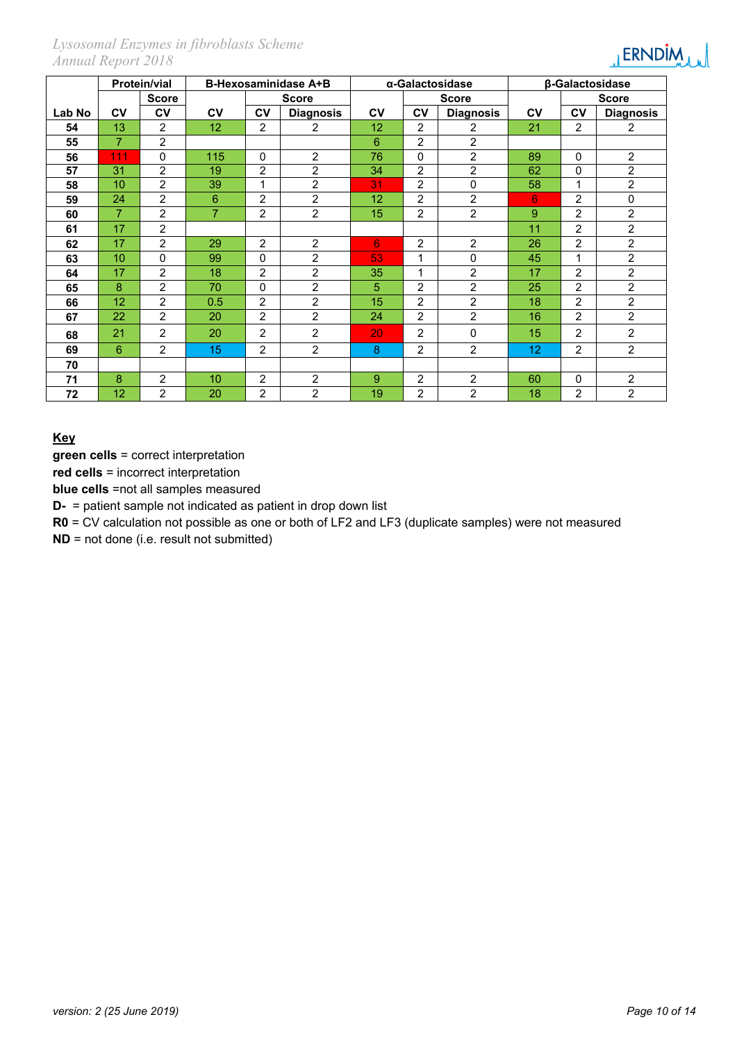#### *Lysosomal Enzymes in fibroblasts Scheme Annual Report 2018*

# $\mu$ ERNDİM $\mu$

|        |                | <b>Protein/vial</b> |                |                | <b>B-Hexosaminidase A+B</b> |           |                | α-Galactosidase  |           |                | β-Galactosidase  |
|--------|----------------|---------------------|----------------|----------------|-----------------------------|-----------|----------------|------------------|-----------|----------------|------------------|
|        |                | <b>Score</b>        |                |                | <b>Score</b>                |           | <b>Score</b>   |                  |           | <b>Score</b>   |                  |
| Lab No | CV             | CV                  | <b>CV</b>      | <b>CV</b>      | <b>Diagnosis</b>            | <b>CV</b> | CV             | <b>Diagnosis</b> | <b>CV</b> | <b>CV</b>      | <b>Diagnosis</b> |
| 54     | 13             | $\overline{2}$      | 12             | 2              | $\overline{2}$              | 12        | 2              | 2                | 21        | $\overline{2}$ | $\overline{2}$   |
| 55     | $\overline{7}$ | $\overline{2}$      |                |                |                             | 6         | $\overline{2}$ | $\overline{2}$   |           |                |                  |
| 56     | 111            | 0                   | 115            | $\Omega$       | $\overline{2}$              | 76        | $\mathbf{0}$   | $\overline{2}$   | 89        | $\mathbf{0}$   | $\overline{2}$   |
| 57     | 31             | $\overline{2}$      | 19             | $\overline{2}$ | 2                           | 34        | $\overline{2}$ | $\overline{2}$   | 62        | $\mathbf{0}$   | 2                |
| 58     | 10             | $\overline{2}$      | 39             | 1              | $\overline{2}$              | 31        | 2              | $\mathbf{0}$     | 58        | 1              | $\overline{2}$   |
| 59     | 24             | $\overline{2}$      | 6              | 2              | $\overline{2}$              | 12        | 2              | $\overline{2}$   | 6         | 2              | 0                |
| 60     | 7              | $\overline{2}$      | $\overline{7}$ | 2              | $\overline{2}$              | 15        | $\overline{2}$ | $\overline{2}$   | 9         | $\overline{2}$ | $\overline{2}$   |
| 61     | 17             | $\overline{2}$      |                |                |                             |           |                |                  | 11        | $\overline{2}$ | $\overline{2}$   |
| 62     | 17             | $\overline{2}$      | 29             | 2              | $\overline{2}$              | 6         | 2              | $\overline{2}$   | 26        | 2              | $\overline{2}$   |
| 63     | 10             | $\Omega$            | 99             | 0              | $\overline{c}$              | 53        | 1              | 0                | 45        | 1              | $\overline{2}$   |
| 64     | 17             | $\overline{2}$      | 18             | $\overline{2}$ | $\overline{2}$              | 35        | 1              | $\overline{2}$   | 17        | $\overline{2}$ | $\overline{2}$   |
| 65     | 8              | $\overline{2}$      | 70             | $\Omega$       | $\overline{2}$              | 5         | $\overline{2}$ | $\overline{2}$   | 25        | 2              | $\overline{2}$   |
| 66     | 12             | $\overline{2}$      | 0.5            | $\overline{2}$ | $\overline{2}$              | 15        | $\overline{2}$ | $\overline{2}$   | 18        | $\overline{2}$ | $\overline{2}$   |
| 67     | 22             | $\overline{2}$      | 20             | $\overline{2}$ | $\overline{2}$              | 24        | 2              | $\overline{2}$   | 16        | 2              | $\overline{2}$   |
| 68     | 21             | 2                   | 20             | 2              | $\overline{2}$              | 20        | 2              | $\Omega$         | 15        | $\overline{2}$ | $\overline{2}$   |
| 69     | 6              | $\overline{2}$      | 15             | 2              | $\overline{2}$              | 8         | $\overline{2}$ | $\overline{2}$   | 12        | $\overline{2}$ | $\overline{2}$   |
| 70     |                |                     |                |                |                             |           |                |                  |           |                |                  |
| 71     | 8              | $\overline{2}$      | 10             | 2              | $\overline{2}$              | 9         | $\overline{2}$ | $\overline{2}$   | 60        | 0              | $\overline{2}$   |
| 72     | 12             | $\overline{2}$      | 20             | $\overline{2}$ | $\overline{2}$              | 19        | 2              | $\overline{2}$   | 18        | $\overline{2}$ | $\overline{2}$   |

#### **Key**

**green cells** = correct interpretation

**red cells** = incorrect interpretation

**blue cells** =not all samples measured

**D-** = patient sample not indicated as patient in drop down list

**R0** = CV calculation not possible as one or both of LF2 and LF3 (duplicate samples) were not measured

**ND** = not done (i.e. result not submitted)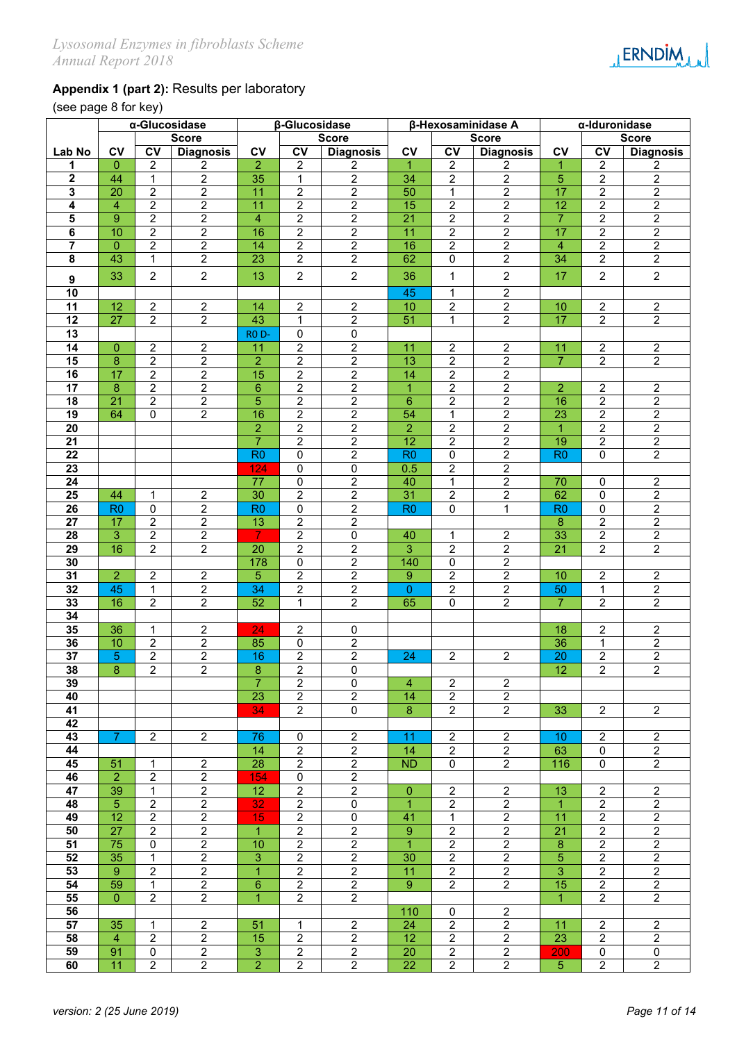### **Appendix 1 (part 2):** Results per laboratory

(see page 8 for key)

|                         | α-Glucosidase           |                          |                         | β-Glucosidase   |                  |                  |                  | β-Hexosaminidase A      |                  | α-Iduronidase   |                         |                         |
|-------------------------|-------------------------|--------------------------|-------------------------|-----------------|------------------|------------------|------------------|-------------------------|------------------|-----------------|-------------------------|-------------------------|
|                         |                         |                          | <b>Score</b>            |                 |                  | <b>Score</b>     |                  |                         | <b>Score</b>     |                 |                         | <b>Score</b>            |
| Lab No                  | <b>CV</b>               | $\overline{\mathsf{cv}}$ | <b>Diagnosis</b>        | CV              | $\overline{cv}$  | <b>Diagnosis</b> | CV               | $\overline{cv}$         | <b>Diagnosis</b> | CV              | $\overline{CV}$         | <b>Diagnosis</b>        |
| 1                       | $\mathbf 0$             | $\overline{2}$           | 2                       | $\overline{2}$  | $\overline{2}$   | $\overline{2}$   | $\mathbf{1}$     | $\overline{\mathbf{c}}$ | 2                | $\mathbf{1}$    | $\overline{2}$          | $\overline{\mathbf{c}}$ |
| $\overline{\mathbf{2}}$ | 44                      | $\mathbf 1$              | $\overline{2}$          | 35              | $\mathbf 1$      | $\overline{2}$   | 34               | $\overline{2}$          | $\overline{2}$   | $\overline{5}$  | $\overline{\mathbf{c}}$ | $\overline{2}$          |
| $\overline{\mathbf{3}}$ | 20                      | $\overline{2}$           | $\overline{2}$          | 11              | $\overline{2}$   | $\overline{2}$   | 50               | 1                       | $\overline{2}$   | 17              | $\overline{2}$          | $\overline{2}$          |
| 4                       |                         | $\overline{2}$           |                         | 11              | $\overline{2}$   | $\overline{2}$   | 15               | $\overline{2}$          | $\overline{2}$   | $\overline{12}$ |                         | $\overline{2}$          |
|                         | $\overline{\mathbf{4}}$ |                          | $\overline{2}$          |                 |                  |                  |                  |                         |                  |                 | $\overline{\mathbf{c}}$ |                         |
| 5                       | $\overline{9}$          | $\overline{2}$           | $\overline{\mathbf{c}}$ | $\overline{4}$  | $\overline{2}$   | $\overline{2}$   | 21               | $\overline{2}$          | $\overline{2}$   | $\overline{7}$  | $\overline{2}$          | $\overline{2}$          |
| $\overline{\mathbf{6}}$ | 10                      | $\overline{2}$           | $\overline{2}$          | 16              | $\overline{2}$   | $\overline{2}$   | 11               | $\overline{2}$          | $\overline{2}$   | 17              | $\overline{2}$          | $\overline{2}$          |
| 7                       | $\pmb{0}$               | $\overline{2}$           | $\overline{2}$          | 14              | $\overline{2}$   | $\overline{2}$   | 16               | $\overline{2}$          | $\overline{2}$   | $\overline{4}$  | $\overline{2}$          | $\overline{2}$          |
| 8                       | 43                      | $\overline{1}$           | $\overline{2}$          | $\overline{23}$ | $\overline{2}$   | $\overline{2}$   | 62               | 0                       | $\overline{2}$   | 34              | $\overline{2}$          | $\overline{2}$          |
|                         | 33                      | $\overline{2}$           | $\overline{c}$          | 13              | $\overline{2}$   | $\overline{2}$   | 36               | $\mathbf{1}$            | $\overline{2}$   | 17              | $\overline{2}$          | $\overline{2}$          |
| $\boldsymbol{9}$        |                         |                          |                         |                 |                  |                  |                  |                         |                  |                 |                         |                         |
| 10                      |                         |                          |                         |                 |                  |                  | 45               | 1                       | $\overline{2}$   |                 |                         |                         |
| $\overline{11}$         | 12                      | $\overline{\mathbf{c}}$  | $\overline{2}$          | 14              | $\overline{2}$   | $\overline{c}$   | 10 <sub>1</sub>  | $\overline{2}$          | $\overline{c}$   | 10              | $\overline{2}$          | $\overline{c}$          |
| 12                      | $\overline{27}$         | $\sqrt{2}$               | $\overline{2}$          | 43              | $\mathbf 1$      | $\overline{2}$   | 51               | $\mathbf{1}$            | $\overline{2}$   | 17              | $\overline{2}$          | $\overline{2}$          |
| 13                      |                         |                          |                         | <b>RO</b> D-    | $\mathbf 0$      | $\overline{0}$   |                  |                         |                  |                 |                         |                         |
| $\overline{14}$         | $\pmb{0}$               | $\overline{2}$           | $\overline{2}$          | 11              | $\overline{2}$   | $\overline{2}$   | 11               | $\overline{2}$          | $\overline{2}$   | 11              | $\overline{2}$          | $\overline{2}$          |
| 15                      | $\overline{8}$          | $\overline{2}$           | $\overline{2}$          | $\overline{2}$  | $\overline{2}$   | $\overline{2}$   | $\overline{13}$  | $\overline{2}$          | $\overline{2}$   | $\overline{7}$  | $\overline{2}$          | $\overline{2}$          |
| 16                      | 17                      | $\overline{2}$           | $\overline{2}$          | 15              | $\overline{2}$   | $\overline{2}$   | 14               | $\overline{2}$          | $\overline{2}$   |                 |                         |                         |
|                         |                         |                          |                         |                 |                  |                  |                  |                         |                  |                 |                         |                         |
| 17                      | $\overline{8}$          | $\overline{c}$           | 2                       | $\,6\,$         | $\overline{2}$   | $\overline{c}$   | $\mathbf{1}$     | $\boldsymbol{2}$        | $\overline{c}$   | $\overline{2}$  | 2                       | $\overline{2}$          |
| $\overline{18}$         | $\overline{21}$         | $\overline{2}$           | $\overline{2}$          | $\overline{5}$  | $\overline{2}$   | $\overline{2}$   | $\overline{6}$   | $\overline{2}$          | $\overline{2}$   | 16              | $\overline{2}$          | $\overline{2}$          |
| $\overline{19}$         | 64                      | 0                        | $\overline{2}$          | 16              | $\overline{2}$   | $\overline{2}$   | 54               | 1                       | $\overline{2}$   | $\overline{23}$ | $\overline{2}$          | $\overline{2}$          |
| $\overline{20}$         |                         |                          |                         | $\overline{2}$  | $\overline{2}$   | $\overline{2}$   | $\overline{2}$   | $\overline{2}$          | $\overline{2}$   | $\overline{1}$  | $\overline{2}$          | $\overline{2}$          |
| 21                      |                         |                          |                         | $\overline{7}$  | $\overline{2}$   | $\overline{2}$   | $\overline{12}$  | $\overline{2}$          | $\overline{2}$   | 19              | $\overline{2}$          | $\overline{2}$          |
| $\overline{22}$         |                         |                          |                         | R <sub>0</sub>  | 0                | $\overline{2}$   | R <sub>0</sub>   | $\pmb{0}$               | $\overline{2}$   | R <sub>0</sub>  | 0                       | $\overline{2}$          |
| $\overline{23}$         |                         |                          |                         | 124             | $\mathbf 0$      | $\pmb{0}$        | 0.5              | $\overline{2}$          | $\overline{2}$   |                 |                         |                         |
| 24                      |                         |                          |                         | 77              | $\overline{0}$   | $\overline{2}$   | 40               | $\mathbf{1}$            | $\overline{2}$   | 70              | $\mathbf 0$             | $\overline{2}$          |
| 25                      | 44                      | 1                        | 2                       | 30              | $\overline{2}$   | $\overline{2}$   | 31               | $\overline{2}$          | $\overline{2}$   | 62              | $\mathbf 0$             | $\overline{2}$          |
|                         |                         | $\pmb{0}$                |                         |                 | $\pmb{0}$        | $\overline{2}$   |                  | $\overline{0}$          | $\mathbf{1}$     |                 | $\mathbf 0$             | $\overline{2}$          |
| 26                      | R <sub>0</sub>          |                          | $\overline{\mathbf{c}}$ | R <sub>0</sub>  |                  |                  | R <sub>0</sub>   |                         |                  | R <sub>0</sub>  |                         |                         |
| 27                      | 17                      | $\boldsymbol{2}$         | $\overline{2}$          | 13              | $\overline{2}$   | $\overline{2}$   |                  |                         |                  | 8               | $\overline{2}$          | $\overline{c}$          |
| 28                      | 3                       | $\boldsymbol{2}$         | $\boldsymbol{2}$        | $\overline{7}$  | $\boldsymbol{2}$ | $\pmb{0}$        | 40               | 1                       | $\boldsymbol{2}$ | 33              | 2                       | $\overline{2}$          |
| 29                      | 16                      | $\overline{2}$           | $\overline{2}$          | 20              | $\overline{2}$   | $\overline{2}$   | $\overline{3}$   | $\overline{2}$          | $\overline{2}$   | $\overline{21}$ | $\overline{2}$          | $\overline{2}$          |
| 30                      |                         |                          |                         | 178             | 0                | $\overline{2}$   | 140              | $\Omega$                | $\overline{2}$   |                 |                         |                         |
| 31                      | $\overline{2}$          | $\overline{2}$           | $\overline{\mathbf{c}}$ | 5               | $\overline{2}$   | $\overline{2}$   | $\boldsymbol{9}$ | $\overline{2}$          | $\overline{2}$   | 10              | $\overline{2}$          | $\overline{2}$          |
| 32                      | 45                      | $\mathbf 1$              | $\overline{2}$          | 34              | $\overline{2}$   | $\overline{2}$   | $\overline{0}$   | $\overline{2}$          | $\overline{2}$   | 50              | 1                       | $\overline{2}$          |
| 33                      | 16                      | $\overline{2}$           | $\overline{2}$          | 52              | 1                | $\overline{2}$   | 65               | $\Omega$                | $\overline{2}$   | $\overline{7}$  | $\overline{c}$          | $\overline{2}$          |
| 34                      |                         |                          |                         |                 |                  |                  |                  |                         |                  |                 |                         |                         |
| 35                      | 36                      | $\mathbf 1$              | $\overline{2}$          | 24              | $\overline{2}$   | 0                |                  |                         |                  | 18              | $\overline{2}$          | $\overline{2}$          |
| 36                      | 10                      |                          | $\overline{2}$          | 85              | $\pmb{0}$        | $\overline{2}$   |                  |                         |                  | 36              |                         | $\overline{2}$          |
|                         |                         | $\boldsymbol{2}$         |                         |                 |                  |                  |                  |                         |                  |                 | 1                       |                         |
| $\overline{37}$         | $\overline{5}$          | $\overline{2}$           | $\overline{2}$          | 16              | $\overline{2}$   | $\overline{2}$   | 24               | $\overline{2}$          | $\overline{2}$   | 20              | $\overline{2}$          | $\overline{2}$          |
| 38                      | 8                       | 2                        | $\overline{\mathbf{c}}$ | 8               | $\boldsymbol{2}$ | 0                |                  |                         |                  | $\overline{12}$ | 2                       | $\overline{2}$          |
| 39                      |                         |                          |                         | $\overline{7}$  | $\boldsymbol{2}$ | $\pmb{0}$        | 4                | $\overline{2}$          | $\overline{2}$   |                 |                         |                         |
| 40                      |                         |                          |                         | $\overline{23}$ | $\overline{2}$   | $\overline{2}$   | 14               | $\overline{2}$          | $\overline{2}$   |                 |                         |                         |
| 41                      |                         |                          |                         | $\overline{34}$ | $\overline{2}$   | $\mathbf 0$      | $\overline{8}$   | $\overline{2}$          | $\overline{2}$   | 33              | 2                       | $\overline{2}$          |
| 42                      |                         |                          |                         |                 |                  |                  |                  |                         |                  |                 |                         |                         |
| 43                      | 7 <sup>1</sup>          | $\overline{2}$           | $\overline{2}$          | 76              | 0                | $\overline{c}$   | 11               | $\boldsymbol{2}$        | $\overline{c}$   | 10              | $\overline{2}$          | $\overline{2}$          |
| 44                      |                         |                          |                         | 14              | $\overline{2}$   | $\overline{2}$   | 14               | $\overline{2}$          | $\overline{2}$   | 63              | $\mathbf 0$             | $\overline{2}$          |
| 45                      | 51                      | $\mathbf 1$              | 2                       | $\overline{28}$ | $\overline{2}$   | $\overline{2}$   | <b>ND</b>        | $\mathbf{0}$            | $\overline{2}$   | 116             | 0                       | $\overline{2}$          |
| 46                      | $\overline{2}$          | $\overline{2}$           | $\overline{2}$          | 154             | $\mathbf 0$      | $\overline{2}$   |                  |                         |                  |                 |                         |                         |
| 47                      | 39                      | $\mathbf 1$              | $\overline{\mathbf{c}}$ | 12              | $\overline{2}$   | $\overline{2}$   | 0                | $\overline{2}$          | $\overline{2}$   | 13              | $\overline{2}$          | $\overline{2}$          |
|                         |                         |                          |                         |                 |                  |                  |                  |                         |                  |                 |                         |                         |
| 48                      | 5                       | $\overline{2}$           | $\overline{2}$          | 32              | $\overline{2}$   | 0                | $\mathbf{1}$     | $\overline{c}$          | $\boldsymbol{2}$ | $\mathbf{1}$    | 2                       | $\overline{a}$          |
| 49                      | $\overline{12}$         | $\boldsymbol{2}$         | $\overline{2}$          | 15              | $\sqrt{2}$       | $\pmb{0}$        | 41               | 1                       | $\mathbf 2$      | 11              | 2                       | $\overline{2}$          |
| 50                      | $\overline{27}$         | $\overline{2}$           | $\overline{2}$          | $\mathbf{1}$    | $\overline{2}$   | $\overline{2}$   | $\boldsymbol{9}$ | $\overline{2}$          | $\overline{2}$   | 21              | $\overline{2}$          | $\overline{2}$          |
| $\overline{51}$         | $\overline{75}$         | 0                        | $\overline{\mathbf{c}}$ | 10              | $\overline{2}$   | $\overline{2}$   | $\overline{1}$   | $\overline{2}$          | $\overline{2}$   | 8               | $\overline{2}$          | $\overline{2}$          |
| 52                      | 35                      | $\mathbf 1$              | $\overline{2}$          | $\overline{3}$  | $\overline{2}$   | $\overline{2}$   | 30               | $\overline{2}$          | $\overline{2}$   | 5               | $\overline{2}$          | $\overline{2}$          |
| 53                      | 9                       | $\overline{2}$           | $\overline{2}$          | $\mathbf{1}$    | $\overline{2}$   | $\overline{2}$   | 11               | $\overline{2}$          | $\overline{2}$   | 3               | $\overline{2}$          | $\overline{2}$          |
| 54                      | 59                      | $\mathbf{1}$             | $\overline{\mathbf{c}}$ | 6               | $\boldsymbol{2}$ | $\overline{2}$   | $\overline{9}$   | $\overline{2}$          | $\overline{2}$   | 15              | 2                       | $\overline{\mathbf{c}}$ |
| 55                      | $\overline{0}$          | $\overline{2}$           | $\overline{2}$          | $\overline{1}$  | $\overline{2}$   | $\overline{2}$   |                  |                         |                  | $\mathbf{1}$    | $\overline{2}$          | $\overline{2}$          |
| 56                      |                         |                          |                         |                 |                  |                  | 110              | $\mathbf 0$             | $\overline{2}$   |                 |                         |                         |
| $\overline{57}$         |                         |                          |                         |                 |                  |                  |                  |                         |                  |                 |                         |                         |
|                         | 35                      | $\mathbf 1$              | 2                       | 51              | $\mathbf 1$      | $\overline{2}$   | 24               | $\overline{2}$          | $\overline{2}$   | 11              | 2                       | $\boldsymbol{2}$        |
| 58                      | 4                       | $\overline{2}$           | $\overline{2}$          | 15              | $\overline{2}$   | $\overline{2}$   | $\overline{12}$  | $\overline{2}$          | 2                | 23              | $\overline{2}$          | $\overline{2}$          |
| 59                      | 91                      | $\mathbf 0$              | $\overline{2}$          | 3               | $\overline{c}$   | $\overline{c}$   | 20               | $\overline{\mathbf{c}}$ | $\boldsymbol{2}$ | 200             | 0                       | $\pmb{0}$               |
| 60                      | 11                      | $\overline{2}$           | $\overline{2}$          | $\overline{2}$  | $\overline{2}$   | $\overline{2}$   | 22               | $\overline{2}$          | 2                | 5               | 2                       | $\overline{2}$          |

**LERNDIM**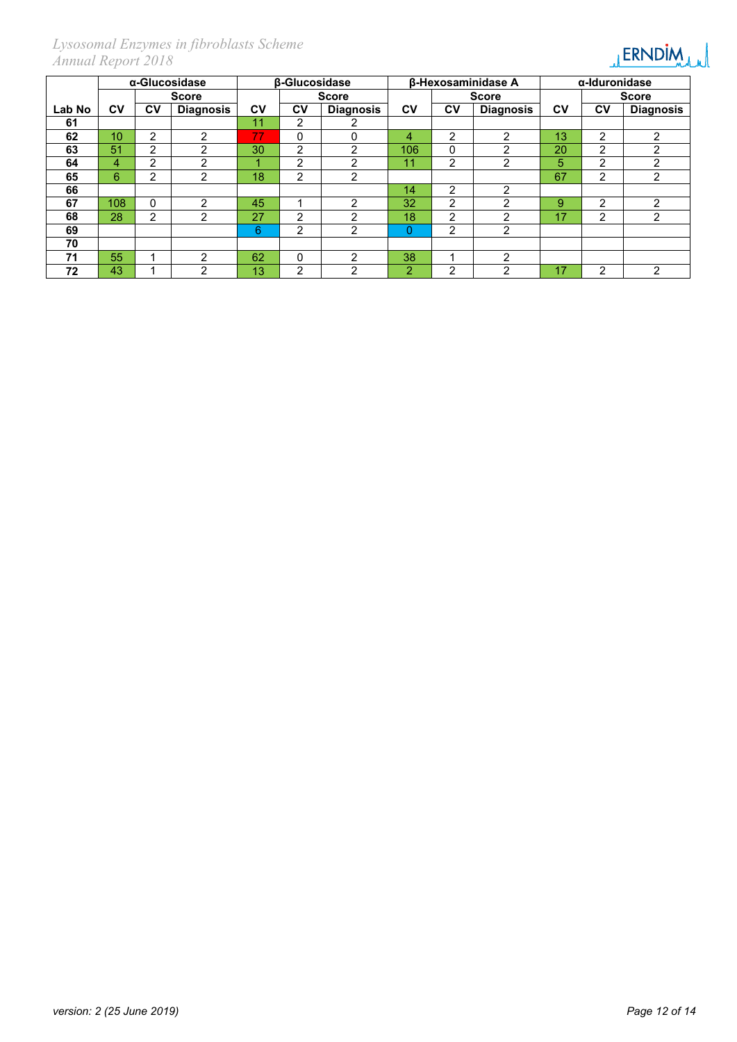*Lysosomal Enzymes in fibroblasts Scheme Annual Report 2018* 

# **LERNDIM**

|        | α-Glucosidase |              |                  | β-Glucosidase |                |                  |                | β-Hexosaminidase A | α-Iduronidase    |    |                |                  |
|--------|---------------|--------------|------------------|---------------|----------------|------------------|----------------|--------------------|------------------|----|----------------|------------------|
|        |               | <b>Score</b> |                  |               | <b>Score</b>   |                  | <b>Score</b>   |                    |                  |    | <b>Score</b>   |                  |
| Lab No | CV            | CV           | <b>Diagnosis</b> | CV            | Cν             | <b>Diagnosis</b> | Cν             | CV                 | <b>Diagnosis</b> | CV | CV             | <b>Diagnosis</b> |
| 61     |               |              |                  | 11            | $\overline{2}$ |                  |                |                    |                  |    |                |                  |
| 62     | 10            | 2            | 2                | 77            | 0              | $\Omega$         | 4              | 2                  | $\mathbf{2}$     | 13 | $\overline{2}$ | 2                |
| 63     | 51            | 2            | 2                | 30            | $\overline{2}$ | 2                | 106            | 0                  | 2                | 20 | $\overline{2}$ | ◠                |
| 64     | 4             | 2            | 2                | ×             | $\overline{2}$ | 2                | 11             | 2                  | 2                | 5  | 2              | 2                |
| 65     | 6             | 2            | 2                | 18            | 2              | $\overline{2}$   |                |                    |                  | 67 | 2              | $\overline{2}$   |
| 66     |               |              |                  |               |                |                  | 14             | 2                  | 2                |    |                |                  |
| 67     | 108           | 0            | 2                | 45            |                | っ                | 32             | 2                  | ົ                | 9  | っ              | າ                |
| 68     | 28            | 2            | $\overline{2}$   | 27            | $\overline{2}$ | 2                | 18             | 2                  | 2                | 17 | 2              | 2                |
| 69     |               |              |                  | 6             | $\mathbf{2}$   | $\overline{2}$   | 0              | 2                  | 2                |    |                |                  |
| 70     |               |              |                  |               |                |                  |                |                    |                  |    |                |                  |
| 71     | 55            |              | 2                | 62            | 0              | 2                | 38             |                    | $\overline{2}$   |    |                |                  |
| 72     | 43            |              | $\overline{2}$   | 13            | $\overline{2}$ | 2                | $\overline{2}$ | 2                  | 2                | 17 | $\overline{2}$ | っ                |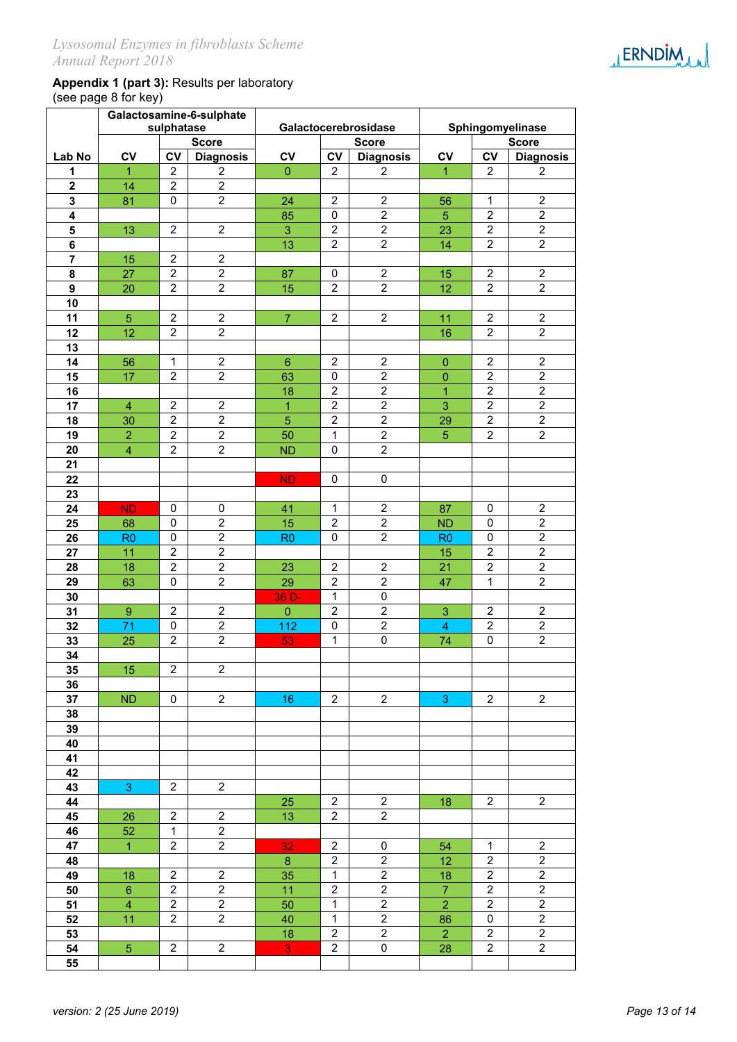#### **Appendix 1 (part 3):** Results per laboratory (see page 8 for key)

|                         | Galactosamine-6-sulphate<br>sulphatase |                                           |                                    |                      |                      |                                           | Sphingomyelinase          |                                           |                                    |  |
|-------------------------|----------------------------------------|-------------------------------------------|------------------------------------|----------------------|----------------------|-------------------------------------------|---------------------------|-------------------------------------------|------------------------------------|--|
|                         |                                        |                                           |                                    |                      |                      | Galactocerebrosidase                      |                           |                                           |                                    |  |
|                         |                                        |                                           | <b>Score</b>                       |                      |                      | <b>Score</b>                              |                           |                                           | <b>Score</b>                       |  |
| Lab No                  | <b>CV</b>                              | CV                                        | <b>Diagnosis</b>                   | $c_{V}$              | CV<br>$\overline{c}$ | <b>Diagnosis</b>                          | CV                        | CV<br>$\overline{c}$                      | <b>Diagnosis</b>                   |  |
| 1                       | $\mathbf{1}$                           | $\overline{2}$<br>$\boldsymbol{2}$        | 2<br>$\sqrt{2}$                    | $\pmb{0}$            |                      | 2                                         | 1                         |                                           | 2                                  |  |
| $\boldsymbol{2}$        | 14                                     |                                           | $\boldsymbol{2}$                   |                      |                      |                                           |                           |                                           |                                    |  |
| $\mathbf 3$             | 81                                     | 0                                         |                                    | 24                   | $\sqrt{2}$           | $\overline{c}$<br>$\boldsymbol{2}$        | 56                        | 1<br>$\overline{2}$                       | $\overline{2}$<br>$\overline{2}$   |  |
| 4                       |                                        | $\overline{2}$                            | $\boldsymbol{2}$                   | 85                   | 0                    |                                           | $\overline{5}$            |                                           |                                    |  |
| 5                       | 13                                     |                                           |                                    | 3                    | $\boldsymbol{2}$     | $\overline{c}$                            | 23                        | $\overline{c}$                            | $\overline{c}$                     |  |
| 6                       |                                        |                                           |                                    | 13                   | $\overline{2}$       | $\overline{2}$                            | 14                        | $\overline{2}$                            | $\boldsymbol{2}$                   |  |
| $\overline{\mathbf{r}}$ | 15                                     | $\overline{\mathbf{c}}$                   | $\boldsymbol{2}$                   |                      |                      |                                           |                           |                                           |                                    |  |
| 8<br>$\boldsymbol{9}$   | 27                                     | $\overline{\mathbf{c}}$<br>$\overline{2}$ | $\boldsymbol{2}$<br>$\overline{2}$ | 87                   | 0<br>$\overline{2}$  | $\overline{\mathbf{c}}$<br>$\overline{2}$ | 15                        | $\overline{\mathbf{c}}$<br>$\overline{2}$ | $\boldsymbol{2}$<br>$\overline{2}$ |  |
| 10                      | 20                                     |                                           |                                    | 15                   |                      |                                           | 12                        |                                           |                                    |  |
| 11                      |                                        | $\overline{2}$                            | $\overline{2}$                     | $\overline{7}$       | 2                    | $\overline{2}$                            |                           | $\overline{2}$                            | $\overline{2}$                     |  |
| 12                      | $\sqrt{5}$<br>12                       | $\overline{2}$                            | $\boldsymbol{2}$                   |                      |                      |                                           | 11<br>16                  | $\overline{2}$                            | $\boldsymbol{2}$                   |  |
| 13                      |                                        |                                           |                                    |                      |                      |                                           |                           |                                           |                                    |  |
| 14                      |                                        | $\mathbf{1}$                              | $\overline{2}$                     |                      | $\overline{2}$       | $\overline{2}$                            |                           | $\overline{2}$                            | $\overline{2}$                     |  |
| 15                      | 56<br>17                               | $\overline{2}$                            | $\overline{2}$                     | $6\phantom{1}$<br>63 | $\pmb{0}$            | $\overline{2}$                            | $\pmb{0}$<br>$\mathbf{0}$ | $\overline{2}$                            | $\overline{2}$                     |  |
| 16                      |                                        |                                           |                                    | 18                   | $\overline{2}$       | $\overline{2}$                            | $\overline{1}$            | $\overline{2}$                            | $\overline{2}$                     |  |
| 17                      | 4                                      | $\overline{2}$                            | $\overline{2}$                     | $\mathbf{1}$         | $\overline{2}$       | $\overline{2}$                            | 3                         | $\overline{2}$                            | $\overline{2}$                     |  |
|                         | 30                                     | $\overline{2}$                            | $\overline{2}$                     | 5                    | $\overline{2}$       | $\boldsymbol{2}$                          | 29                        | $\overline{c}$                            | $\boldsymbol{2}$                   |  |
| 18<br>19                | $\overline{2}$                         | $\overline{2}$                            | $\overline{2}$                     | 50                   | $\mathbf{1}$         | $\overline{2}$                            | 5                         | $\overline{2}$                            | $\overline{2}$                     |  |
| 20                      | $\overline{4}$                         | $\overline{2}$                            | $\overline{2}$                     | <b>ND</b>            | 0                    | $\overline{2}$                            |                           |                                           |                                    |  |
| 21                      |                                        |                                           |                                    |                      |                      |                                           |                           |                                           |                                    |  |
| 22                      |                                        |                                           |                                    | <b>ND</b>            | 0                    | 0                                         |                           |                                           |                                    |  |
| 23                      |                                        |                                           |                                    |                      |                      |                                           |                           |                                           |                                    |  |
| 24                      | <b>ND</b>                              | 0                                         | 0                                  | 41                   | $\mathbf 1$          | $\overline{2}$                            | 87                        | 0                                         | $\overline{2}$                     |  |
| 25                      | 68                                     | $\pmb{0}$                                 | $\overline{2}$                     | 15                   | $\overline{2}$       | $\overline{2}$                            | <b>ND</b>                 | $\mathsf 0$                               | $\overline{2}$                     |  |
| 26                      | R <sub>0</sub>                         | 0                                         | $\overline{\mathbf{c}}$            | R <sub>0</sub>       | 0                    | $\overline{2}$                            | R <sub>0</sub>            | 0                                         | $\boldsymbol{2}$                   |  |
| 27                      | 11                                     | $\overline{c}$                            | $\boldsymbol{2}$                   |                      |                      |                                           | 15                        | $\overline{2}$                            | $\sqrt{2}$                         |  |
| 28                      | 18                                     | $\overline{c}$                            | $\boldsymbol{2}$                   | 23                   | $\sqrt{2}$           | $\boldsymbol{2}$                          | 21                        | 2                                         | $\sqrt{2}$                         |  |
| 29                      | 63                                     | $\pmb{0}$                                 | $\overline{2}$                     | 29                   | $\overline{2}$       | $\overline{2}$                            | 47                        | $\mathbf{1}$                              | $\overline{2}$                     |  |
| 30                      |                                        |                                           |                                    | 36 D-                | $\mathbf 1$          | $\pmb{0}$                                 |                           |                                           |                                    |  |
| 31                      | $\boldsymbol{9}$                       | $\overline{2}$                            | $\overline{2}$                     | $\pmb{0}$            | $\overline{2}$       | $\overline{2}$                            | $\sqrt{3}$                | $\overline{2}$                            | $\overline{2}$                     |  |
| 32                      | 71                                     | 0                                         | $\boldsymbol{2}$                   | 112                  | $\pmb{0}$            | $\overline{2}$                            | 4                         | $\overline{2}$                            | $\overline{c}$                     |  |
| 33                      | 25                                     | $\overline{\mathbf{c}}$                   | $\overline{\mathbf{c}}$            | 53                   | 1                    | 0                                         | 74                        | 0                                         | $\overline{2}$                     |  |
| 34                      |                                        |                                           |                                    |                      |                      |                                           |                           |                                           |                                    |  |
| 35                      | 15                                     | $\overline{c}$                            | $\overline{c}$                     |                      |                      |                                           |                           |                                           |                                    |  |
| 36                      |                                        |                                           |                                    |                      |                      |                                           |                           |                                           |                                    |  |
| 37                      | <b>ND</b>                              | 0                                         | $\overline{2}$                     | 16                   | 2                    | $\overline{2}$                            | 3                         | $\overline{2}$                            | $\overline{2}$                     |  |
| 38                      |                                        |                                           |                                    |                      |                      |                                           |                           |                                           |                                    |  |
| 39                      |                                        |                                           |                                    |                      |                      |                                           |                           |                                           |                                    |  |
| 40                      |                                        |                                           |                                    |                      |                      |                                           |                           |                                           |                                    |  |
| 41                      |                                        |                                           |                                    |                      |                      |                                           |                           |                                           |                                    |  |
| 42                      |                                        |                                           |                                    |                      |                      |                                           |                           |                                           |                                    |  |
| 43                      | 3                                      | $\overline{2}$                            | $\sqrt{2}$                         |                      |                      |                                           |                           |                                           |                                    |  |
| 44                      |                                        |                                           |                                    | 25                   | $\overline{c}$       | $\overline{\mathbf{c}}$                   | 18                        | $\overline{c}$                            | $\boldsymbol{2}$                   |  |
| 45                      | 26                                     | $\overline{c}$                            | $\boldsymbol{2}$                   | 13                   | $\overline{2}$       | $\overline{2}$                            |                           |                                           |                                    |  |
| 46                      | 52                                     | $\mathbf 1$                               | $\overline{c}$                     |                      |                      |                                           |                           |                                           |                                    |  |
| 47                      | $\overline{1}$                         | $\overline{c}$                            | $\boldsymbol{2}$                   | 32                   | $\overline{c}$       | 0                                         | 54                        | $\mathbf{1}$                              | $\overline{c}$                     |  |
| 48                      |                                        |                                           |                                    | $\bf{8}$             | $\overline{c}$       | $\overline{c}$                            | 12                        | $\overline{2}$                            | $\boldsymbol{2}$                   |  |
| 49                      | 18                                     | $\overline{2}$                            | $\boldsymbol{2}$                   | 35                   | $\mathbf{1}$         | $\mathbf 2$                               | 18                        | $\overline{c}$                            | $\overline{2}$                     |  |
| 50                      | $6\phantom{a}$                         | $\overline{2}$                            | $\overline{2}$                     | 11                   | $\overline{2}$       | $\overline{2}$                            | $\overline{7}$            | $\overline{2}$                            | $\overline{2}$                     |  |
| 51                      | $\overline{4}$                         | $\overline{2}$                            | $\overline{2}$                     | 50                   | $\mathbf{1}$         | $\overline{2}$                            | $\overline{2}$            | $\overline{2}$                            | $\overline{2}$                     |  |
| 52                      | 11                                     | $\overline{2}$                            | $\overline{2}$                     | 40                   | $\mathbf{1}$         | $\overline{2}$                            | 86                        | 0                                         | $\overline{2}$                     |  |
| 53                      |                                        |                                           |                                    | 18                   | $\overline{2}$       | $\overline{2}$                            | $\overline{2}$            | $\overline{2}$                            | $\overline{2}$                     |  |
| 54                      | $\overline{5}$                         | $\overline{2}$                            | $\overline{2}$                     | 3                    | $\overline{2}$       | $\mathsf 0$                               | 28                        | $\overline{c}$                            | $\overline{2}$                     |  |
| 55                      |                                        |                                           |                                    |                      |                      |                                           |                           |                                           |                                    |  |